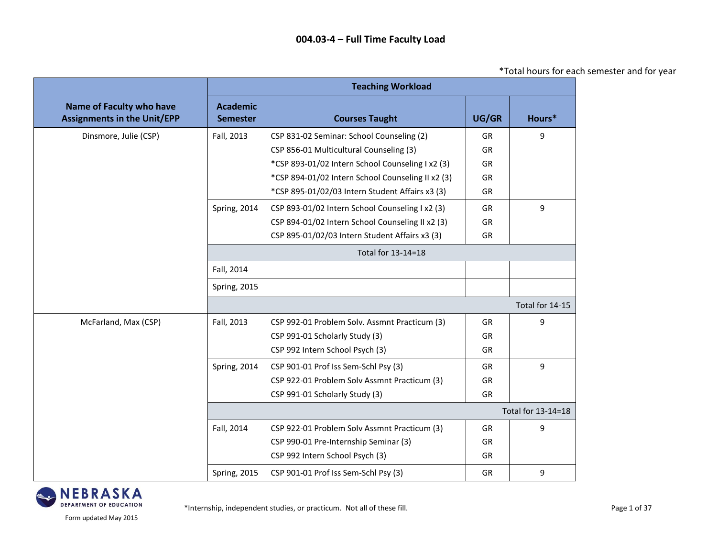\*Total hours for each semester and for year

|                                                                       |                                    | <b>Teaching Workload</b>                          |           |                    |
|-----------------------------------------------------------------------|------------------------------------|---------------------------------------------------|-----------|--------------------|
| <b>Name of Faculty who have</b><br><b>Assignments in the Unit/EPP</b> | <b>Academic</b><br><b>Semester</b> | <b>Courses Taught</b>                             | UG/GR     | Hours*             |
| Dinsmore, Julie (CSP)                                                 | Fall, 2013                         | CSP 831-02 Seminar: School Counseling (2)         | <b>GR</b> | 9                  |
|                                                                       |                                    | CSP 856-01 Multicultural Counseling (3)           | GR        |                    |
|                                                                       |                                    | *CSP 893-01/02 Intern School Counseling I x2 (3)  | <b>GR</b> |                    |
|                                                                       |                                    | *CSP 894-01/02 Intern School Counseling II x2 (3) | GR        |                    |
|                                                                       |                                    | *CSP 895-01/02/03 Intern Student Affairs x3 (3)   | <b>GR</b> |                    |
|                                                                       | Spring, 2014                       | CSP 893-01/02 Intern School Counseling I x2 (3)   | GR        | 9                  |
|                                                                       |                                    | CSP 894-01/02 Intern School Counseling II x2 (3)  | <b>GR</b> |                    |
|                                                                       |                                    | CSP 895-01/02/03 Intern Student Affairs x3 (3)    | GR        |                    |
|                                                                       |                                    | Total for 13-14=18                                |           |                    |
|                                                                       | Fall, 2014                         |                                                   |           |                    |
|                                                                       | Spring, 2015                       |                                                   |           |                    |
|                                                                       |                                    |                                                   |           | Total for 14-15    |
| McFarland, Max (CSP)                                                  | Fall, 2013                         | CSP 992-01 Problem Solv. Assmnt Practicum (3)     | <b>GR</b> | 9                  |
|                                                                       |                                    | CSP 991-01 Scholarly Study (3)                    | <b>GR</b> |                    |
|                                                                       |                                    | CSP 992 Intern School Psych (3)                   | GR        |                    |
|                                                                       | Spring, 2014                       | CSP 901-01 Prof Iss Sem-Schl Psy (3)              | <b>GR</b> | 9                  |
|                                                                       |                                    | CSP 922-01 Problem Solv Assmnt Practicum (3)      | GR        |                    |
|                                                                       |                                    | CSP 991-01 Scholarly Study (3)                    | <b>GR</b> |                    |
|                                                                       |                                    |                                                   |           | Total for 13-14=18 |
|                                                                       | Fall, 2014                         | CSP 922-01 Problem Solv Assmnt Practicum (3)      | GR        | 9                  |
|                                                                       |                                    | CSP 990-01 Pre-Internship Seminar (3)             | GR        |                    |
|                                                                       |                                    | CSP 992 Intern School Psych (3)                   | GR        |                    |
|                                                                       | <b>Spring, 2015</b>                | CSP 901-01 Prof Iss Sem-Schl Psy (3)              | GR        | 9                  |

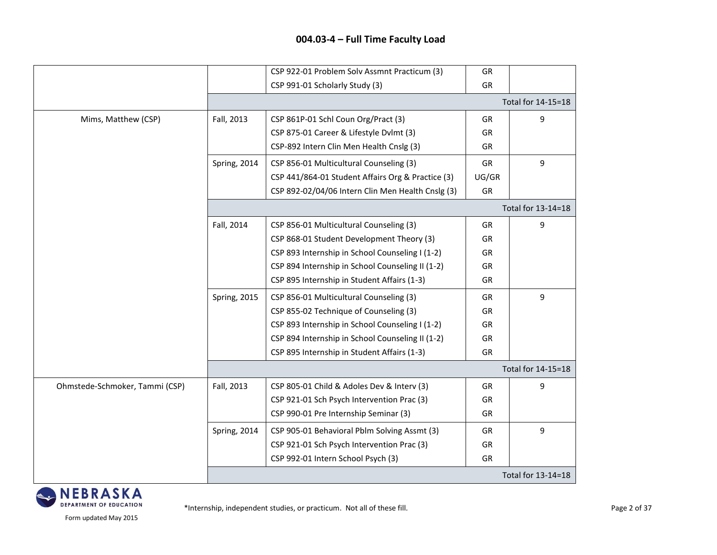|                                |                     | CSP 922-01 Problem Solv Assmnt Practicum (3)      | GR        |                    |
|--------------------------------|---------------------|---------------------------------------------------|-----------|--------------------|
|                                |                     | CSP 991-01 Scholarly Study (3)                    | GR        |                    |
|                                |                     |                                                   |           | Total for 14-15=18 |
| Mims, Matthew (CSP)            | Fall, 2013          | CSP 861P-01 Schl Coun Org/Pract (3)               | GR        | 9                  |
|                                |                     | CSP 875-01 Career & Lifestyle Dvlmt (3)           | <b>GR</b> |                    |
|                                |                     | CSP-892 Intern Clin Men Health Cnslg (3)          | <b>GR</b> |                    |
|                                | Spring, 2014        | CSP 856-01 Multicultural Counseling (3)           | GR        | 9                  |
|                                |                     | CSP 441/864-01 Student Affairs Org & Practice (3) | UG/GR     |                    |
|                                |                     | CSP 892-02/04/06 Intern Clin Men Health Cnslg (3) | GR        |                    |
|                                |                     |                                                   |           | Total for 13-14=18 |
|                                | Fall, 2014          | CSP 856-01 Multicultural Counseling (3)           | GR        | 9                  |
|                                |                     | CSP 868-01 Student Development Theory (3)         | GR        |                    |
|                                |                     | CSP 893 Internship in School Counseling I (1-2)   | GR        |                    |
|                                |                     | CSP 894 Internship in School Counseling II (1-2)  | GR        |                    |
|                                |                     | CSP 895 Internship in Student Affairs (1-3)       | GR        |                    |
|                                | <b>Spring, 2015</b> | CSP 856-01 Multicultural Counseling (3)           | <b>GR</b> | 9                  |
|                                |                     | CSP 855-02 Technique of Counseling (3)            | <b>GR</b> |                    |
|                                |                     | CSP 893 Internship in School Counseling I (1-2)   | GR        |                    |
|                                |                     | CSP 894 Internship in School Counseling II (1-2)  | GR        |                    |
|                                |                     | CSP 895 Internship in Student Affairs (1-3)       | GR        |                    |
|                                |                     |                                                   |           | Total for 14-15=18 |
| Ohmstede-Schmoker, Tammi (CSP) | Fall, 2013          | CSP 805-01 Child & Adoles Dev & Interv (3)        | GR        | 9                  |
|                                |                     | CSP 921-01 Sch Psych Intervention Prac (3)        | <b>GR</b> |                    |
|                                |                     | CSP 990-01 Pre Internship Seminar (3)             | <b>GR</b> |                    |
|                                | Spring, 2014        | CSP 905-01 Behavioral Pblm Solving Assmt (3)      | GR        | 9                  |
|                                |                     | CSP 921-01 Sch Psych Intervention Prac (3)        | GR        |                    |
|                                |                     | CSP 992-01 Intern School Psych (3)                | GR        |                    |
|                                |                     |                                                   |           | Total for 13-14=18 |

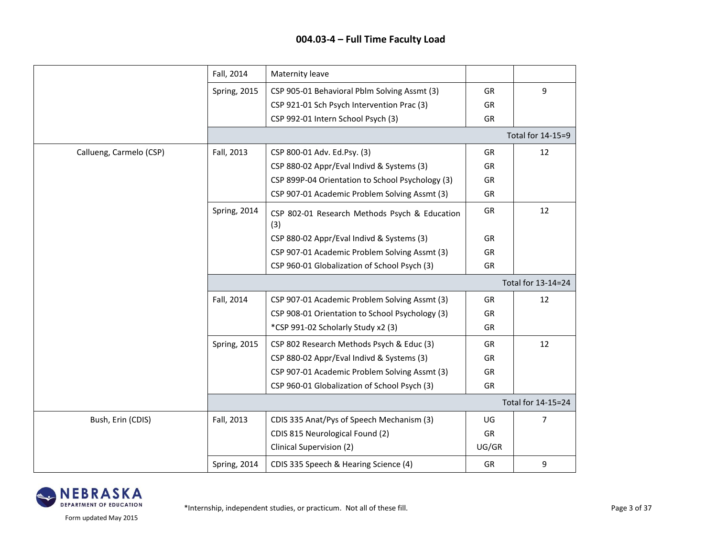|                         | Fall, 2014          | Maternity leave                                      |           |                    |
|-------------------------|---------------------|------------------------------------------------------|-----------|--------------------|
|                         | <b>Spring, 2015</b> | CSP 905-01 Behavioral Pblm Solving Assmt (3)         | GR        | 9                  |
|                         |                     | CSP 921-01 Sch Psych Intervention Prac (3)           | <b>GR</b> |                    |
|                         |                     | CSP 992-01 Intern School Psych (3)                   | GR        |                    |
|                         |                     |                                                      |           | Total for 14-15=9  |
| Callueng, Carmelo (CSP) | Fall, 2013          | CSP 800-01 Adv. Ed.Psy. (3)                          | <b>GR</b> | 12                 |
|                         |                     | CSP 880-02 Appr/Eval Indivd & Systems (3)            | GR        |                    |
|                         |                     | CSP 899P-04 Orientation to School Psychology (3)     | GR        |                    |
|                         |                     | CSP 907-01 Academic Problem Solving Assmt (3)        | GR        |                    |
|                         | Spring, 2014        | CSP 802-01 Research Methods Psych & Education<br>(3) | <b>GR</b> | 12                 |
|                         |                     | CSP 880-02 Appr/Eval Indivd & Systems (3)            | GR        |                    |
|                         |                     | CSP 907-01 Academic Problem Solving Assmt (3)        | GR        |                    |
|                         |                     | CSP 960-01 Globalization of School Psych (3)         | GR        |                    |
|                         |                     |                                                      |           | Total for 13-14=24 |
|                         | Fall, 2014          | CSP 907-01 Academic Problem Solving Assmt (3)        | GR        | 12                 |
|                         |                     | CSP 908-01 Orientation to School Psychology (3)      | GR        |                    |
|                         |                     | *CSP 991-02 Scholarly Study x2 (3)                   | GR        |                    |
|                         | <b>Spring, 2015</b> | CSP 802 Research Methods Psych & Educ (3)            | <b>GR</b> | 12                 |
|                         |                     | CSP 880-02 Appr/Eval Indivd & Systems (3)            | GR        |                    |
|                         |                     | CSP 907-01 Academic Problem Solving Assmt (3)        | GR        |                    |
|                         |                     | CSP 960-01 Globalization of School Psych (3)         | GR        |                    |
|                         |                     |                                                      |           | Total for 14-15=24 |
| Bush, Erin (CDIS)       | Fall, 2013          | CDIS 335 Anat/Pys of Speech Mechanism (3)            | UG        | 7                  |
|                         |                     | CDIS 815 Neurological Found (2)                      | GR        |                    |
|                         |                     | Clinical Supervision (2)                             | UG/GR     |                    |
|                         | <b>Spring, 2014</b> | CDIS 335 Speech & Hearing Science (4)                | GR        | 9                  |

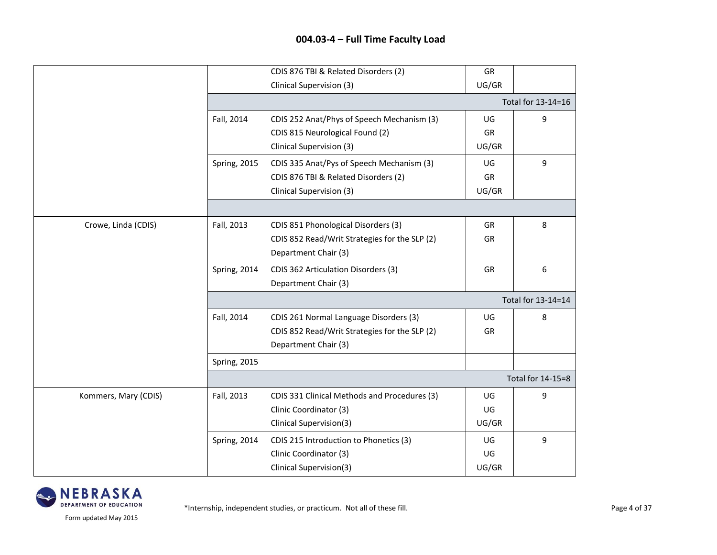|                      |                     | CDIS 876 TBI & Related Disorders (2)          | GR        |                    |
|----------------------|---------------------|-----------------------------------------------|-----------|--------------------|
|                      |                     | Clinical Supervision (3)                      | UG/GR     |                    |
|                      |                     |                                               |           | Total for 13-14=16 |
|                      | Fall, 2014          | CDIS 252 Anat/Phys of Speech Mechanism (3)    | UG        | 9                  |
|                      |                     | CDIS 815 Neurological Found (2)               | GR        |                    |
|                      |                     | Clinical Supervision (3)                      | UG/GR     |                    |
|                      | <b>Spring, 2015</b> | CDIS 335 Anat/Pys of Speech Mechanism (3)     | UG        | 9                  |
|                      |                     | CDIS 876 TBI & Related Disorders (2)          | GR        |                    |
|                      |                     | Clinical Supervision (3)                      | UG/GR     |                    |
|                      |                     |                                               |           |                    |
| Crowe, Linda (CDIS)  | Fall, 2013          | CDIS 851 Phonological Disorders (3)           | GR        | 8                  |
|                      |                     | CDIS 852 Read/Writ Strategies for the SLP (2) | <b>GR</b> |                    |
|                      |                     | Department Chair (3)                          |           |                    |
|                      | Spring, 2014        | CDIS 362 Articulation Disorders (3)           | GR        | 6                  |
|                      |                     | Department Chair (3)                          |           |                    |
|                      |                     |                                               |           | Total for 13-14=14 |
|                      | Fall, 2014          | CDIS 261 Normal Language Disorders (3)        | UG        | 8                  |
|                      |                     | CDIS 852 Read/Writ Strategies for the SLP (2) | GR        |                    |
|                      |                     | Department Chair (3)                          |           |                    |
|                      | <b>Spring, 2015</b> |                                               |           |                    |
|                      |                     |                                               |           | Total for 14-15=8  |
| Kommers, Mary (CDIS) | Fall, 2013          | CDIS 331 Clinical Methods and Procedures (3)  | UG        | 9                  |
|                      |                     | Clinic Coordinator (3)                        | UG        |                    |
|                      |                     | Clinical Supervision(3)                       | UG/GR     |                    |
|                      | Spring, 2014        | CDIS 215 Introduction to Phonetics (3)        | UG        | 9                  |
|                      |                     | Clinic Coordinator (3)                        | UG        |                    |
|                      |                     | Clinical Supervision(3)                       | UG/GR     |                    |

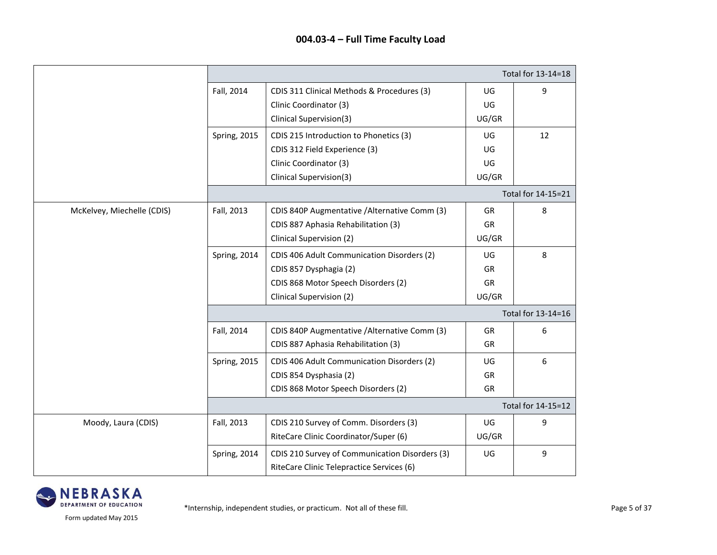|                            | Total for 13-14=18  |                                                |           |                    |
|----------------------------|---------------------|------------------------------------------------|-----------|--------------------|
|                            | Fall, 2014          | CDIS 311 Clinical Methods & Procedures (3)     | UG        | 9                  |
|                            |                     | Clinic Coordinator (3)                         | UG        |                    |
|                            |                     | Clinical Supervision(3)                        | UG/GR     |                    |
|                            | Spring, 2015        | CDIS 215 Introduction to Phonetics (3)         | UG        | 12                 |
|                            |                     | CDIS 312 Field Experience (3)                  | UG        |                    |
|                            |                     | Clinic Coordinator (3)                         | UG        |                    |
|                            |                     | Clinical Supervision(3)                        | UG/GR     |                    |
|                            |                     |                                                |           | Total for 14-15=21 |
| McKelvey, Miechelle (CDIS) | Fall, 2013          | CDIS 840P Augmentative / Alternative Comm (3)  | GR        | 8                  |
|                            |                     | CDIS 887 Aphasia Rehabilitation (3)            | <b>GR</b> |                    |
|                            |                     | Clinical Supervision (2)                       | UG/GR     |                    |
|                            | Spring, 2014        | CDIS 406 Adult Communication Disorders (2)     | UG        | 8                  |
|                            |                     | CDIS 857 Dysphagia (2)                         | GR        |                    |
|                            |                     | CDIS 868 Motor Speech Disorders (2)            | GR        |                    |
|                            |                     | Clinical Supervision (2)                       | UG/GR     |                    |
|                            |                     |                                                |           | Total for 13-14=16 |
|                            | Fall, 2014          | CDIS 840P Augmentative / Alternative Comm (3)  | GR        | 6                  |
|                            |                     | CDIS 887 Aphasia Rehabilitation (3)            | <b>GR</b> |                    |
|                            | <b>Spring, 2015</b> | CDIS 406 Adult Communication Disorders (2)     | UG        | 6                  |
|                            |                     | CDIS 854 Dysphasia (2)                         | GR        |                    |
|                            |                     | CDIS 868 Motor Speech Disorders (2)            | GR        |                    |
|                            |                     |                                                |           | Total for 14-15=12 |
| Moody, Laura (CDIS)        | Fall, 2013          | CDIS 210 Survey of Comm. Disorders (3)         | UG        | 9                  |
|                            |                     | RiteCare Clinic Coordinator/Super (6)          | UG/GR     |                    |
|                            | Spring, 2014        | CDIS 210 Survey of Communication Disorders (3) | UG        | 9                  |
|                            |                     | RiteCare Clinic Telepractice Services (6)      |           |                    |

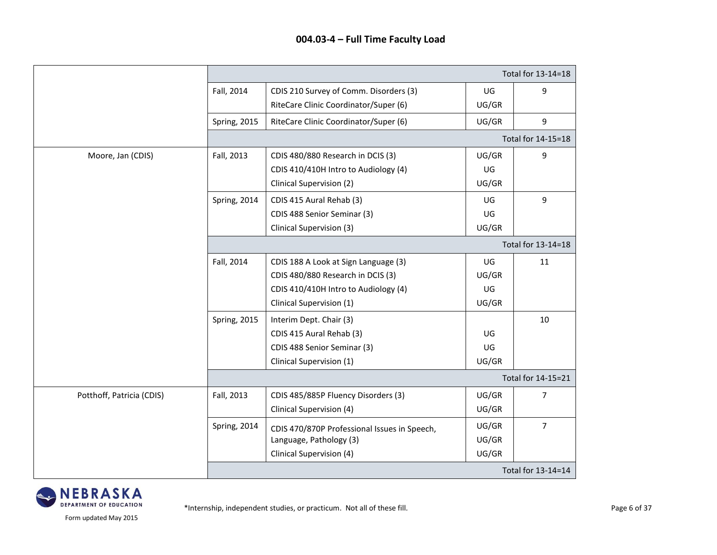|                           |                     | Total for 13-14=18                           |       |                    |  |
|---------------------------|---------------------|----------------------------------------------|-------|--------------------|--|
|                           | Fall, 2014          | CDIS 210 Survey of Comm. Disorders (3)       | UG    | $\boldsymbol{9}$   |  |
|                           |                     | RiteCare Clinic Coordinator/Super (6)        | UG/GR |                    |  |
|                           | Spring, 2015        | RiteCare Clinic Coordinator/Super (6)        | UG/GR | 9                  |  |
|                           |                     |                                              |       | Total for 14-15=18 |  |
| Moore, Jan (CDIS)         | Fall, 2013          | CDIS 480/880 Research in DCIS (3)            | UG/GR | $\boldsymbol{9}$   |  |
|                           |                     | CDIS 410/410H Intro to Audiology (4)         | UG    |                    |  |
|                           |                     | Clinical Supervision (2)                     | UG/GR |                    |  |
|                           | Spring, 2014        | CDIS 415 Aural Rehab (3)                     | UG    | 9                  |  |
|                           |                     | CDIS 488 Senior Seminar (3)                  | UG    |                    |  |
|                           |                     | Clinical Supervision (3)                     | UG/GR |                    |  |
|                           |                     |                                              |       | Total for 13-14=18 |  |
|                           | Fall, 2014          | CDIS 188 A Look at Sign Language (3)         | UG    | 11                 |  |
|                           |                     | CDIS 480/880 Research in DCIS (3)            | UG/GR |                    |  |
|                           |                     | CDIS 410/410H Intro to Audiology (4)         | UG    |                    |  |
|                           |                     | Clinical Supervision (1)                     | UG/GR |                    |  |
|                           | <b>Spring, 2015</b> | Interim Dept. Chair (3)                      |       | 10                 |  |
|                           |                     | CDIS 415 Aural Rehab (3)                     | UG    |                    |  |
|                           |                     | CDIS 488 Senior Seminar (3)                  | UG    |                    |  |
|                           |                     | Clinical Supervision (1)                     | UG/GR |                    |  |
|                           |                     |                                              |       | Total for 14-15=21 |  |
| Potthoff, Patricia (CDIS) | Fall, 2013          | CDIS 485/885P Fluency Disorders (3)          | UG/GR | 7                  |  |
|                           |                     | Clinical Supervision (4)                     | UG/GR |                    |  |
|                           | Spring, 2014        | CDIS 470/870P Professional Issues in Speech, | UG/GR | $\overline{7}$     |  |
|                           |                     | Language, Pathology (3)                      | UG/GR |                    |  |
|                           |                     | Clinical Supervision (4)                     | UG/GR |                    |  |
|                           |                     |                                              |       | Total for 13-14=14 |  |

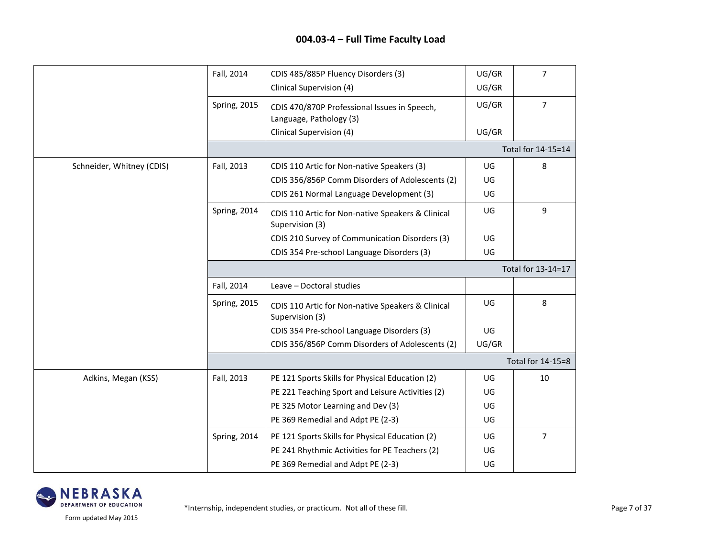|                           | Fall, 2014          | CDIS 485/885P Fluency Disorders (3)                                     | UG/GR | $\overline{7}$     |  |
|---------------------------|---------------------|-------------------------------------------------------------------------|-------|--------------------|--|
|                           |                     | Clinical Supervision (4)                                                | UG/GR |                    |  |
|                           | Spring, 2015        | CDIS 470/870P Professional Issues in Speech,<br>Language, Pathology (3) | UG/GR | $\overline{7}$     |  |
|                           |                     | Clinical Supervision (4)                                                | UG/GR |                    |  |
|                           |                     |                                                                         |       | Total for 14-15=14 |  |
| Schneider, Whitney (CDIS) | Fall, 2013          | CDIS 110 Artic for Non-native Speakers (3)                              | UG    | 8                  |  |
|                           |                     | CDIS 356/856P Comm Disorders of Adolescents (2)                         | UG    |                    |  |
|                           |                     | CDIS 261 Normal Language Development (3)                                | UG    |                    |  |
|                           | Spring, 2014        | CDIS 110 Artic for Non-native Speakers & Clinical<br>Supervision (3)    | UG    | 9                  |  |
|                           |                     | CDIS 210 Survey of Communication Disorders (3)                          | UG    |                    |  |
|                           |                     | CDIS 354 Pre-school Language Disorders (3)                              | UG    |                    |  |
|                           | Total for 13-14=17  |                                                                         |       |                    |  |
|                           | Fall, 2014          | Leave - Doctoral studies                                                |       |                    |  |
|                           | <b>Spring, 2015</b> | CDIS 110 Artic for Non-native Speakers & Clinical<br>Supervision (3)    | UG    | 8                  |  |
|                           |                     | CDIS 354 Pre-school Language Disorders (3)                              | UG    |                    |  |
|                           |                     | CDIS 356/856P Comm Disorders of Adolescents (2)                         | UG/GR |                    |  |
|                           |                     |                                                                         |       | Total for 14-15=8  |  |
| Adkins, Megan (KSS)       | Fall, 2013          | PE 121 Sports Skills for Physical Education (2)                         | UG    | 10                 |  |
|                           |                     | PE 221 Teaching Sport and Leisure Activities (2)                        | UG    |                    |  |
|                           |                     | PE 325 Motor Learning and Dev (3)                                       | UG    |                    |  |
|                           |                     | PE 369 Remedial and Adpt PE (2-3)                                       | UG    |                    |  |
|                           | Spring, 2014        | PE 121 Sports Skills for Physical Education (2)                         | UG    | $\overline{7}$     |  |
|                           |                     | PE 241 Rhythmic Activities for PE Teachers (2)                          | UG    |                    |  |
|                           |                     | PE 369 Remedial and Adpt PE (2-3)                                       | UG    |                    |  |

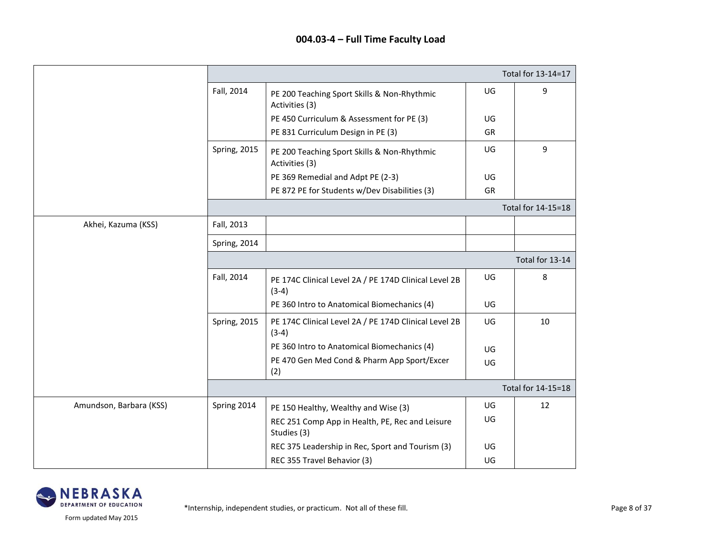|                         |                     |                                                                  |    | Total for 13-14=17 |  |
|-------------------------|---------------------|------------------------------------------------------------------|----|--------------------|--|
|                         | Fall, 2014          | PE 200 Teaching Sport Skills & Non-Rhythmic<br>Activities (3)    | UG | 9                  |  |
|                         |                     | PE 450 Curriculum & Assessment for PE (3)                        | UG |                    |  |
|                         |                     | PE 831 Curriculum Design in PE (3)                               | GR |                    |  |
|                         | Spring, 2015        | PE 200 Teaching Sport Skills & Non-Rhythmic<br>Activities (3)    | UG | 9                  |  |
|                         |                     | PE 369 Remedial and Adpt PE (2-3)                                | UG |                    |  |
|                         |                     | PE 872 PE for Students w/Dev Disabilities (3)                    | GR |                    |  |
|                         |                     |                                                                  |    | Total for 14-15=18 |  |
| Akhei, Kazuma (KSS)     | Fall, 2013          |                                                                  |    |                    |  |
|                         | Spring, 2014        |                                                                  |    |                    |  |
|                         | Total for 13-14     |                                                                  |    |                    |  |
|                         | Fall, 2014          | PE 174C Clinical Level 2A / PE 174D Clinical Level 2B<br>$(3-4)$ | UG | 8                  |  |
|                         |                     | PE 360 Intro to Anatomical Biomechanics (4)                      | UG |                    |  |
|                         | <b>Spring, 2015</b> | PE 174C Clinical Level 2A / PE 174D Clinical Level 2B<br>$(3-4)$ | UG | 10                 |  |
|                         |                     | PE 360 Intro to Anatomical Biomechanics (4)                      | UG |                    |  |
|                         |                     | PE 470 Gen Med Cond & Pharm App Sport/Excer<br>(2)               | UG |                    |  |
|                         |                     |                                                                  |    | Total for 14-15=18 |  |
| Amundson, Barbara (KSS) | Spring 2014         | PE 150 Healthy, Wealthy and Wise (3)                             | UG | 12                 |  |
|                         |                     | REC 251 Comp App in Health, PE, Rec and Leisure<br>Studies (3)   | UG |                    |  |
|                         |                     | REC 375 Leadership in Rec, Sport and Tourism (3)                 | UG |                    |  |
|                         |                     | REC 355 Travel Behavior (3)                                      | UG |                    |  |

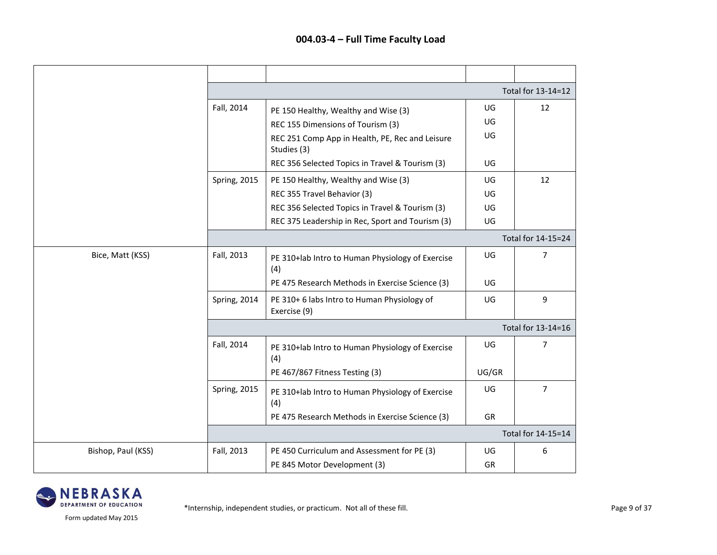|                    |              |                                                                |       | Total for 13-14=12 |
|--------------------|--------------|----------------------------------------------------------------|-------|--------------------|
|                    | Fall, 2014   | PE 150 Healthy, Wealthy and Wise (3)                           | UG    | 12                 |
|                    |              | REC 155 Dimensions of Tourism (3)                              | UG    |                    |
|                    |              | REC 251 Comp App in Health, PE, Rec and Leisure<br>Studies (3) | UG    |                    |
|                    |              | REC 356 Selected Topics in Travel & Tourism (3)                | UG    |                    |
|                    | Spring, 2015 | PE 150 Healthy, Wealthy and Wise (3)                           | UG    | 12                 |
|                    |              | REC 355 Travel Behavior (3)                                    | UG    |                    |
|                    |              | REC 356 Selected Topics in Travel & Tourism (3)                | UG    |                    |
|                    |              | REC 375 Leadership in Rec, Sport and Tourism (3)               | UG    |                    |
|                    |              |                                                                |       | Total for 14-15=24 |
| Bice, Matt (KSS)   | Fall, 2013   | PE 310+lab Intro to Human Physiology of Exercise<br>(4)        | UG    | 7                  |
|                    |              | PE 475 Research Methods in Exercise Science (3)                | UG    |                    |
|                    | Spring, 2014 | PE 310+6 labs Intro to Human Physiology of<br>Exercise (9)     | UG    | $\boldsymbol{9}$   |
|                    |              |                                                                |       | Total for 13-14=16 |
|                    | Fall, 2014   | PE 310+lab Intro to Human Physiology of Exercise<br>(4)        | UG    | 7                  |
|                    |              | PE 467/867 Fitness Testing (3)                                 | UG/GR |                    |
|                    | Spring, 2015 | PE 310+lab Intro to Human Physiology of Exercise<br>(4)        | UG    | $\overline{7}$     |
|                    |              | PE 475 Research Methods in Exercise Science (3)                | GR    |                    |
|                    |              |                                                                |       | Total for 14-15=14 |
| Bishop, Paul (KSS) | Fall, 2013   | PE 450 Curriculum and Assessment for PE (3)                    | UG    | 6                  |
|                    |              | PE 845 Motor Development (3)                                   | GR    |                    |

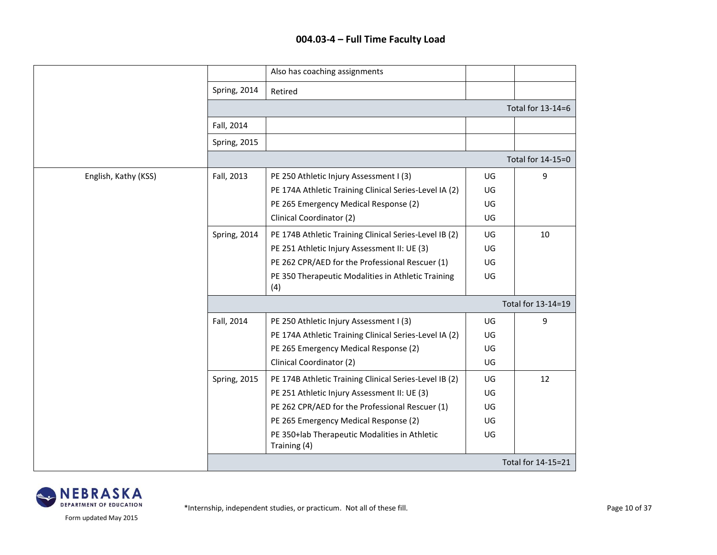|                      |                     | Also has coaching assignments                                 |    |                    |  |  |
|----------------------|---------------------|---------------------------------------------------------------|----|--------------------|--|--|
|                      | Spring, 2014        | Retired                                                       |    |                    |  |  |
|                      |                     |                                                               |    | Total for 13-14=6  |  |  |
|                      | Fall, 2014          |                                                               |    |                    |  |  |
|                      | <b>Spring, 2015</b> |                                                               |    |                    |  |  |
|                      |                     |                                                               |    | Total for 14-15=0  |  |  |
| English, Kathy (KSS) | Fall, 2013          | PE 250 Athletic Injury Assessment I (3)                       | UG | 9                  |  |  |
|                      |                     | PE 174A Athletic Training Clinical Series-Level IA (2)        | UG |                    |  |  |
|                      |                     | PE 265 Emergency Medical Response (2)                         | UG |                    |  |  |
|                      |                     | Clinical Coordinator (2)                                      | UG |                    |  |  |
|                      | Spring, 2014        | PE 174B Athletic Training Clinical Series-Level IB (2)        | UG | 10                 |  |  |
|                      |                     | PE 251 Athletic Injury Assessment II: UE (3)                  | UG |                    |  |  |
|                      |                     | PE 262 CPR/AED for the Professional Rescuer (1)               | UG |                    |  |  |
|                      |                     | PE 350 Therapeutic Modalities in Athletic Training<br>(4)     | UG |                    |  |  |
|                      |                     | Total for 13-14=19                                            |    |                    |  |  |
|                      | Fall, 2014          | PE 250 Athletic Injury Assessment I (3)                       | UG | 9                  |  |  |
|                      |                     | PE 174A Athletic Training Clinical Series-Level IA (2)        | UG |                    |  |  |
|                      |                     | PE 265 Emergency Medical Response (2)                         | UG |                    |  |  |
|                      |                     | Clinical Coordinator (2)                                      | UG |                    |  |  |
|                      | Spring, 2015        | PE 174B Athletic Training Clinical Series-Level IB (2)        | UG | 12                 |  |  |
|                      |                     | PE 251 Athletic Injury Assessment II: UE (3)                  | UG |                    |  |  |
|                      |                     | PE 262 CPR/AED for the Professional Rescuer (1)               | UG |                    |  |  |
|                      |                     | PE 265 Emergency Medical Response (2)                         | UG |                    |  |  |
|                      |                     | PE 350+lab Therapeutic Modalities in Athletic<br>Training (4) | UG |                    |  |  |
|                      |                     |                                                               |    | Total for 14-15=21 |  |  |

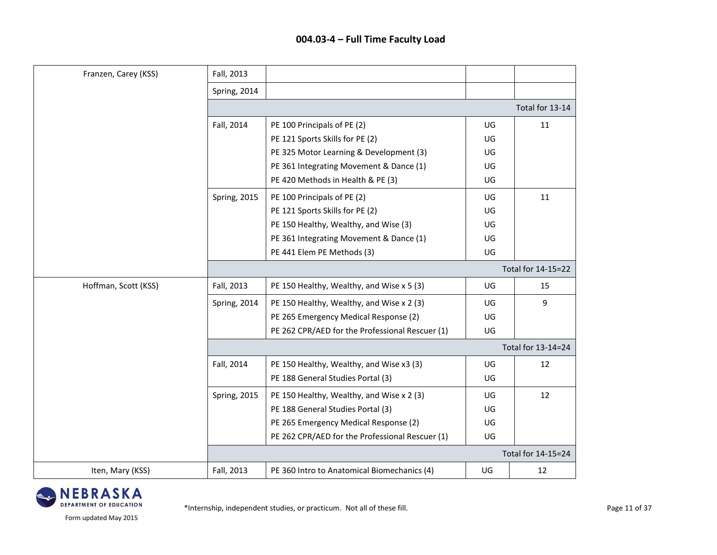| Franzen, Carey (KSS) | Fall, 2013          |                                                 |    |                    |  |
|----------------------|---------------------|-------------------------------------------------|----|--------------------|--|
|                      | Spring, 2014        |                                                 |    |                    |  |
|                      |                     |                                                 |    | Total for 13-14    |  |
|                      | Fall, 2014          | PE 100 Principals of PE (2)                     | UG | 11                 |  |
|                      |                     | PE 121 Sports Skills for PE (2)                 | UG |                    |  |
|                      |                     | PE 325 Motor Learning & Development (3)         | UG |                    |  |
|                      |                     | PE 361 Integrating Movement & Dance (1)         | UG |                    |  |
|                      |                     | PE 420 Methods in Health & PE (3)               | UG |                    |  |
|                      | <b>Spring, 2015</b> | PE 100 Principals of PE (2)                     | UG | 11                 |  |
|                      |                     | PE 121 Sports Skills for PE (2)                 | UG |                    |  |
|                      |                     | PE 150 Healthy, Wealthy, and Wise (3)           | UG |                    |  |
|                      |                     | PE 361 Integrating Movement & Dance (1)         | UG |                    |  |
|                      |                     | PE 441 Elem PE Methods (3)                      | UG |                    |  |
|                      |                     |                                                 |    | Total for 14-15=22 |  |
| Hoffman, Scott (KSS) | Fall, 2013          | PE 150 Healthy, Wealthy, and Wise x 5 (3)       | UG | 15                 |  |
|                      | Spring, 2014        | PE 150 Healthy, Wealthy, and Wise x 2 (3)       | UG | 9                  |  |
|                      |                     | PE 265 Emergency Medical Response (2)           | UG |                    |  |
|                      |                     | PE 262 CPR/AED for the Professional Rescuer (1) | UG |                    |  |
|                      |                     |                                                 |    | Total for 13-14=24 |  |
|                      | Fall, 2014          | PE 150 Healthy, Wealthy, and Wise x3 (3)        | UG | 12                 |  |
|                      |                     | PE 188 General Studies Portal (3)               | UG |                    |  |
|                      | <b>Spring, 2015</b> | PE 150 Healthy, Wealthy, and Wise x 2 (3)       | UG | 12                 |  |
|                      |                     | PE 188 General Studies Portal (3)               | UG |                    |  |
|                      |                     | PE 265 Emergency Medical Response (2)           | UG |                    |  |
|                      |                     | PE 262 CPR/AED for the Professional Rescuer (1) | UG |                    |  |
|                      | Total for 14-15=24  |                                                 |    |                    |  |
| Iten, Mary (KSS)     | Fall, 2013          | PE 360 Intro to Anatomical Biomechanics (4)     | UG | 12                 |  |

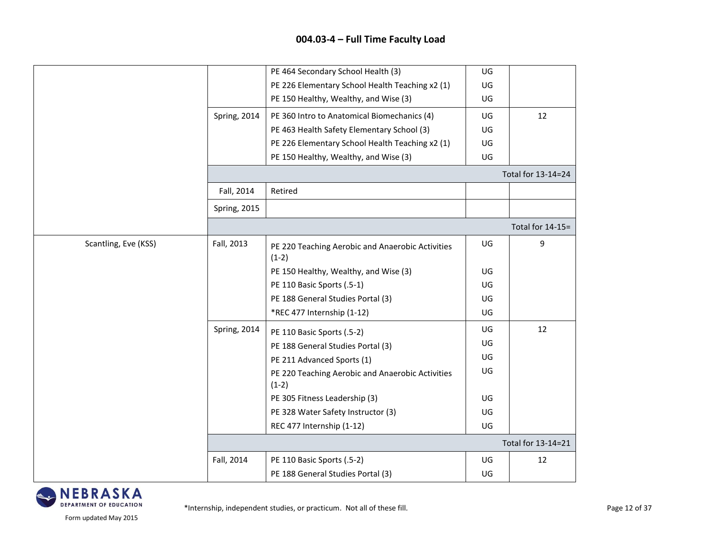|                      |                     | PE 464 Secondary School Health (3)                          | UG |                    |
|----------------------|---------------------|-------------------------------------------------------------|----|--------------------|
|                      |                     | PE 226 Elementary School Health Teaching x2 (1)             | UG |                    |
|                      |                     | PE 150 Healthy, Wealthy, and Wise (3)                       | UG |                    |
|                      | Spring, 2014        | PE 360 Intro to Anatomical Biomechanics (4)                 | UG | 12                 |
|                      |                     | PE 463 Health Safety Elementary School (3)                  | UG |                    |
|                      |                     | PE 226 Elementary School Health Teaching x2 (1)             | UG |                    |
|                      |                     | PE 150 Healthy, Wealthy, and Wise (3)                       | UG |                    |
|                      |                     |                                                             |    | Total for 13-14=24 |
|                      | Fall, 2014          | Retired                                                     |    |                    |
|                      | <b>Spring, 2015</b> |                                                             |    |                    |
|                      |                     |                                                             |    | Total for 14-15=   |
| Scantling, Eve (KSS) | Fall, 2013          | PE 220 Teaching Aerobic and Anaerobic Activities<br>$(1-2)$ | UG | 9                  |
|                      |                     | PE 150 Healthy, Wealthy, and Wise (3)                       | UG |                    |
|                      |                     | PE 110 Basic Sports (.5-1)                                  | UG |                    |
|                      |                     | PE 188 General Studies Portal (3)                           | UG |                    |
|                      |                     | *REC 477 Internship (1-12)                                  | UG |                    |
|                      | Spring, 2014        | PE 110 Basic Sports (.5-2)                                  | UG | 12                 |
|                      |                     | PE 188 General Studies Portal (3)                           | UG |                    |
|                      |                     | PE 211 Advanced Sports (1)                                  | UG |                    |
|                      |                     | PE 220 Teaching Aerobic and Anaerobic Activities<br>$(1-2)$ | UG |                    |
|                      |                     | PE 305 Fitness Leadership (3)                               | UG |                    |
|                      |                     | PE 328 Water Safety Instructor (3)                          | UG |                    |
|                      |                     | REC 477 Internship (1-12)                                   | UG |                    |
|                      |                     |                                                             |    | Total for 13-14=21 |
|                      | Fall, 2014          | PE 110 Basic Sports (.5-2)                                  | UG | 12                 |
|                      |                     | PE 188 General Studies Portal (3)                           | UG |                    |

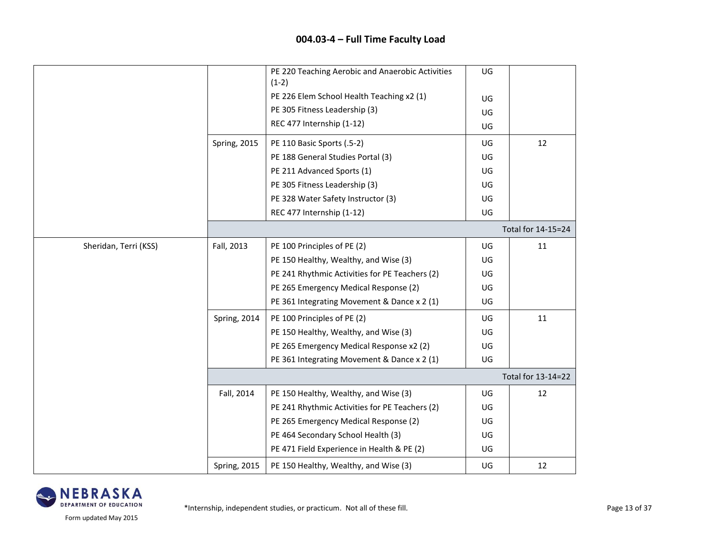|                       |                     | PE 220 Teaching Aerobic and Anaerobic Activities<br>$(1-2)$ | UG |                    |
|-----------------------|---------------------|-------------------------------------------------------------|----|--------------------|
|                       |                     | PE 226 Elem School Health Teaching x2 (1)                   | UG |                    |
|                       |                     | PE 305 Fitness Leadership (3)                               | UG |                    |
|                       |                     | REC 477 Internship (1-12)                                   | UG |                    |
|                       | <b>Spring, 2015</b> | PE 110 Basic Sports (.5-2)                                  | UG | 12                 |
|                       |                     | PE 188 General Studies Portal (3)                           | UG |                    |
|                       |                     | PE 211 Advanced Sports (1)                                  | UG |                    |
|                       |                     | PE 305 Fitness Leadership (3)                               | UG |                    |
|                       |                     | PE 328 Water Safety Instructor (3)                          | UG |                    |
|                       |                     | REC 477 Internship (1-12)                                   | UG |                    |
|                       |                     |                                                             |    | Total for 14-15=24 |
| Sheridan, Terri (KSS) | Fall, 2013          | PE 100 Principles of PE (2)                                 | UG | 11                 |
|                       |                     | PE 150 Healthy, Wealthy, and Wise (3)                       | UG |                    |
|                       |                     | PE 241 Rhythmic Activities for PE Teachers (2)              | UG |                    |
|                       |                     | PE 265 Emergency Medical Response (2)                       | UG |                    |
|                       |                     | PE 361 Integrating Movement & Dance x 2 (1)                 | UG |                    |
|                       | Spring, 2014        | PE 100 Principles of PE (2)                                 | UG | 11                 |
|                       |                     | PE 150 Healthy, Wealthy, and Wise (3)                       | UG |                    |
|                       |                     | PE 265 Emergency Medical Response x2 (2)                    | UG |                    |
|                       |                     | PE 361 Integrating Movement & Dance x 2 (1)                 | UG |                    |
|                       |                     |                                                             |    | Total for 13-14=22 |
|                       | Fall, 2014          | PE 150 Healthy, Wealthy, and Wise (3)                       | UG | 12                 |
|                       |                     | PE 241 Rhythmic Activities for PE Teachers (2)              | UG |                    |
|                       |                     | PE 265 Emergency Medical Response (2)                       | UG |                    |
|                       |                     | PE 464 Secondary School Health (3)                          | UG |                    |
|                       |                     | PE 471 Field Experience in Health & PE (2)                  | UG |                    |
|                       | <b>Spring, 2015</b> | PE 150 Healthy, Wealthy, and Wise (3)                       | UG | 12                 |

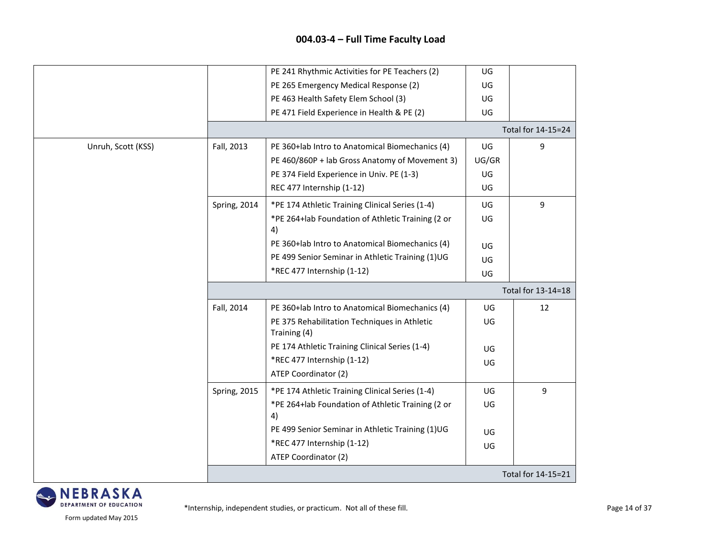|                    |              | PE 241 Rhythmic Activities for PE Teachers (2)               | UG    |                    |
|--------------------|--------------|--------------------------------------------------------------|-------|--------------------|
|                    |              | PE 265 Emergency Medical Response (2)                        | UG    |                    |
|                    |              | PE 463 Health Safety Elem School (3)                         | UG    |                    |
|                    |              | PE 471 Field Experience in Health & PE (2)                   | UG    |                    |
|                    |              |                                                              |       | Total for 14-15=24 |
| Unruh, Scott (KSS) | Fall, 2013   | PE 360+lab Intro to Anatomical Biomechanics (4)              | UG    | 9                  |
|                    |              | PE 460/860P + lab Gross Anatomy of Movement 3)               | UG/GR |                    |
|                    |              | PE 374 Field Experience in Univ. PE (1-3)                    | UG    |                    |
|                    |              | REC 477 Internship (1-12)                                    | UG    |                    |
|                    | Spring, 2014 | *PE 174 Athletic Training Clinical Series (1-4)              | UG    | 9                  |
|                    |              | *PE 264+lab Foundation of Athletic Training (2 or            | UG    |                    |
|                    |              | 4)<br>PE 360+lab Intro to Anatomical Biomechanics (4)        |       |                    |
|                    |              |                                                              | UG    |                    |
|                    |              | PE 499 Senior Seminar in Athletic Training (1)UG             | UG    |                    |
|                    |              | *REC 477 Internship (1-12)                                   | UG    |                    |
|                    |              |                                                              |       | Total for 13-14=18 |
|                    | Fall, 2014   | PE 360+lab Intro to Anatomical Biomechanics (4)              | UG    | 12                 |
|                    |              | PE 375 Rehabilitation Techniques in Athletic<br>Training (4) | UG    |                    |
|                    |              | PE 174 Athletic Training Clinical Series (1-4)               | UG    |                    |
|                    |              | *REC 477 Internship (1-12)<br>ATEP Coordinator (2)           | UG    |                    |
|                    | Spring, 2015 | *PE 174 Athletic Training Clinical Series (1-4)              | UG    | 9                  |
|                    |              | *PE 264+lab Foundation of Athletic Training (2 or<br>4)      | UG    |                    |
|                    |              | PE 499 Senior Seminar in Athletic Training (1)UG             | UG    |                    |
|                    |              | *REC 477 Internship (1-12)                                   | UG    |                    |
|                    |              | ATEP Coordinator (2)                                         |       |                    |
|                    |              |                                                              |       | Total for 14-15=21 |

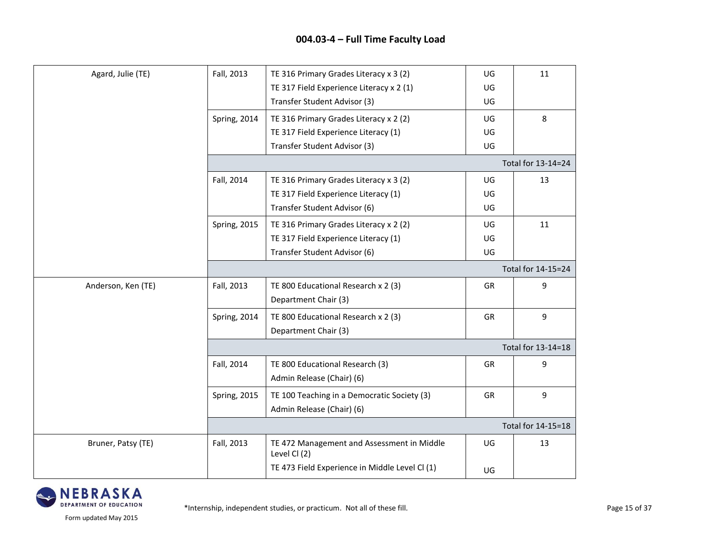| Agard, Julie (TE)  | Fall, 2013          | TE 316 Primary Grades Literacy x 3 (2)                     | UG        | 11                 |
|--------------------|---------------------|------------------------------------------------------------|-----------|--------------------|
|                    |                     | TE 317 Field Experience Literacy x 2 (1)                   | UG        |                    |
|                    |                     | Transfer Student Advisor (3)                               | UG        |                    |
|                    | Spring, 2014        | TE 316 Primary Grades Literacy x 2 (2)                     | UG        | 8                  |
|                    |                     | TE 317 Field Experience Literacy (1)                       | UG        |                    |
|                    |                     | Transfer Student Advisor (3)                               | UG        |                    |
|                    |                     |                                                            |           | Total for 13-14=24 |
|                    | Fall, 2014          | TE 316 Primary Grades Literacy x 3 (2)                     | UG        | 13                 |
|                    |                     | TE 317 Field Experience Literacy (1)                       | UG.       |                    |
|                    |                     | Transfer Student Advisor (6)                               | UG        |                    |
|                    | <b>Spring, 2015</b> | TE 316 Primary Grades Literacy x 2 (2)                     | UG        | 11                 |
|                    |                     | TE 317 Field Experience Literacy (1)                       | UG        |                    |
|                    |                     | Transfer Student Advisor (6)                               | UG        |                    |
|                    |                     |                                                            |           | Total for 14-15=24 |
| Anderson, Ken (TE) | Fall, 2013          | TE 800 Educational Research x 2 (3)                        | <b>GR</b> | 9                  |
|                    |                     | Department Chair (3)                                       |           |                    |
|                    | Spring, 2014        | TE 800 Educational Research x 2 (3)                        | <b>GR</b> | 9                  |
|                    |                     | Department Chair (3)                                       |           |                    |
|                    |                     |                                                            |           | Total for 13-14=18 |
|                    | Fall, 2014          | TE 800 Educational Research (3)                            | <b>GR</b> | 9                  |
|                    |                     | Admin Release (Chair) (6)                                  |           |                    |
|                    | <b>Spring, 2015</b> | TE 100 Teaching in a Democratic Society (3)                | GR        | 9                  |
|                    |                     | Admin Release (Chair) (6)                                  |           |                    |
|                    |                     |                                                            |           | Total for 14-15=18 |
| Bruner, Patsy (TE) | Fall, 2013          | TE 472 Management and Assessment in Middle<br>Level Cl (2) | UG        | 13                 |
|                    |                     | TE 473 Field Experience in Middle Level Cl (1)             | UG        |                    |

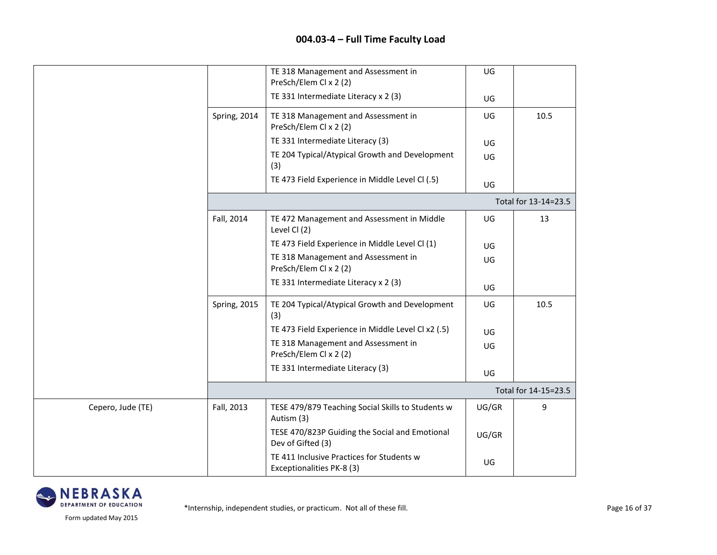|                   |                     | TE 318 Management and Assessment in<br>PreSch/Elem Cl x 2 (2)          | UG    |                      |
|-------------------|---------------------|------------------------------------------------------------------------|-------|----------------------|
|                   |                     | TE 331 Intermediate Literacy x 2 (3)                                   | UG    |                      |
|                   | Spring, 2014        | TE 318 Management and Assessment in<br>PreSch/Elem Cl x 2 (2)          | UG    | 10.5                 |
|                   |                     | TE 331 Intermediate Literacy (3)                                       | UG    |                      |
|                   |                     | TE 204 Typical/Atypical Growth and Development<br>(3)                  | UG    |                      |
|                   |                     | TE 473 Field Experience in Middle Level Cl (.5)                        | UG    |                      |
|                   |                     |                                                                        |       | Total for 13-14=23.5 |
|                   | Fall, 2014          | TE 472 Management and Assessment in Middle<br>Level Cl (2)             | UG    | 13                   |
|                   |                     | TE 473 Field Experience in Middle Level Cl (1)                         | UG    |                      |
|                   |                     | TE 318 Management and Assessment in<br>PreSch/Elem Cl x 2 (2)          | UG    |                      |
|                   |                     | TE 331 Intermediate Literacy x 2 (3)                                   | UG    |                      |
|                   | <b>Spring, 2015</b> | TE 204 Typical/Atypical Growth and Development<br>(3)                  | UG    | 10.5                 |
|                   |                     | TE 473 Field Experience in Middle Level Cl x2 (.5)                     | UG    |                      |
|                   |                     | TE 318 Management and Assessment in<br>PreSch/Elem Cl x 2 (2)          | UG    |                      |
|                   |                     | TE 331 Intermediate Literacy (3)                                       | UG    |                      |
|                   |                     |                                                                        |       | Total for 14-15=23.5 |
| Cepero, Jude (TE) | Fall, 2013          | TESE 479/879 Teaching Social Skills to Students w<br>Autism (3)        | UG/GR | 9                    |
|                   |                     | TESE 470/823P Guiding the Social and Emotional<br>Dev of Gifted (3)    | UG/GR |                      |
|                   |                     | TE 411 Inclusive Practices for Students w<br>Exceptionalities PK-8 (3) | UG    |                      |

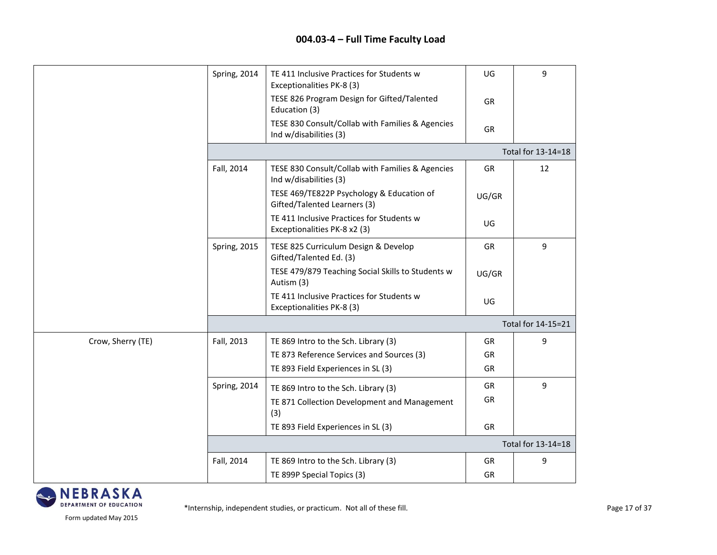|                   | Spring, 2014 | TE 411 Inclusive Practices for Students w<br>Exceptionalities PK-8 (3)     | UG        | 9                  |
|-------------------|--------------|----------------------------------------------------------------------------|-----------|--------------------|
|                   |              | TESE 826 Program Design for Gifted/Talented<br>Education (3)               | GR        |                    |
|                   |              | TESE 830 Consult/Collab with Families & Agencies<br>Ind w/disabilities (3) | GR        |                    |
|                   |              |                                                                            |           | Total for 13-14=18 |
|                   | Fall, 2014   | TESE 830 Consult/Collab with Families & Agencies<br>Ind w/disabilities (3) | GR        | 12                 |
|                   |              | TESE 469/TE822P Psychology & Education of<br>Gifted/Talented Learners (3)  | UG/GR     |                    |
|                   |              | TE 411 Inclusive Practices for Students w<br>Exceptionalities PK-8 x2 (3)  | UG        |                    |
|                   | Spring, 2015 | TESE 825 Curriculum Design & Develop<br>Gifted/Talented Ed. (3)            | <b>GR</b> | 9                  |
|                   |              | TESE 479/879 Teaching Social Skills to Students w<br>Autism (3)            | UG/GR     |                    |
|                   |              | TE 411 Inclusive Practices for Students w<br>Exceptionalities PK-8 (3)     | UG        |                    |
|                   |              |                                                                            |           | Total for 14-15=21 |
| Crow, Sherry (TE) | Fall, 2013   | TE 869 Intro to the Sch. Library (3)                                       | GR        | 9                  |
|                   |              | TE 873 Reference Services and Sources (3)                                  | GR        |                    |
|                   |              | TE 893 Field Experiences in SL (3)                                         | GR        |                    |
|                   | Spring, 2014 | TE 869 Intro to the Sch. Library (3)                                       | GR        | 9                  |
|                   |              | TE 871 Collection Development and Management<br>(3)                        | GR        |                    |
|                   |              | TE 893 Field Experiences in SL (3)                                         | GR        |                    |
|                   |              |                                                                            |           | Total for 13-14=18 |
|                   | Fall, 2014   | TE 869 Intro to the Sch. Library (3)                                       | GR        | 9                  |
|                   |              | TE 899P Special Topics (3)                                                 | GR        |                    |

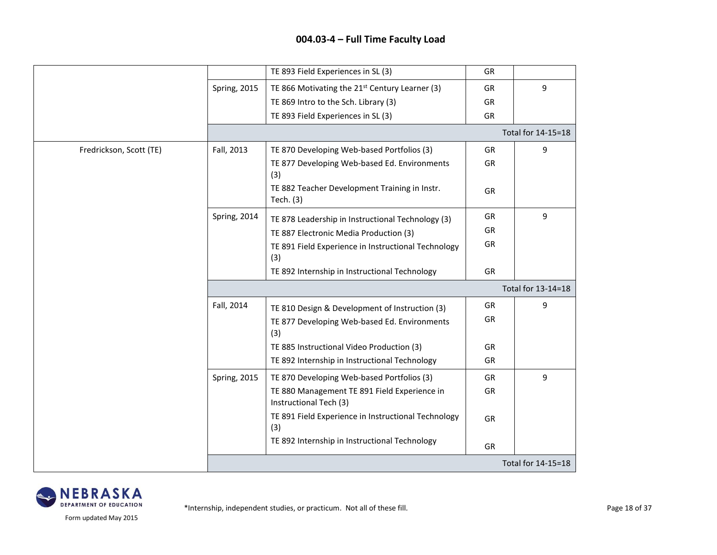|                         |                     | TE 893 Field Experiences in SL (3)                                     | GR        |                    |
|-------------------------|---------------------|------------------------------------------------------------------------|-----------|--------------------|
|                         | <b>Spring, 2015</b> | TE 866 Motivating the 21 <sup>st</sup> Century Learner (3)             | GR        | 9                  |
|                         |                     | TE 869 Intro to the Sch. Library (3)                                   | <b>GR</b> |                    |
|                         |                     | TE 893 Field Experiences in SL (3)                                     | <b>GR</b> |                    |
|                         |                     |                                                                        |           | Total for 14-15=18 |
| Fredrickson, Scott (TE) | Fall, 2013          | TE 870 Developing Web-based Portfolios (3)                             | GR        | 9                  |
|                         |                     | TE 877 Developing Web-based Ed. Environments<br>(3)                    | GR        |                    |
|                         |                     | TE 882 Teacher Development Training in Instr.<br>Tech. (3)             | GR        |                    |
|                         | Spring, 2014        | TE 878 Leadership in Instructional Technology (3)                      | GR        | 9                  |
|                         |                     | TE 887 Electronic Media Production (3)                                 | GR        |                    |
|                         |                     | TE 891 Field Experience in Instructional Technology<br>(3)             | GR        |                    |
|                         |                     | TE 892 Internship in Instructional Technology                          | GR        |                    |
|                         |                     |                                                                        |           | Total for 13-14=18 |
|                         | Fall, 2014          | TE 810 Design & Development of Instruction (3)                         | GR        | 9                  |
|                         |                     | TE 877 Developing Web-based Ed. Environments<br>(3)                    | GR        |                    |
|                         |                     | TE 885 Instructional Video Production (3)                              | GR        |                    |
|                         |                     | TE 892 Internship in Instructional Technology                          | GR        |                    |
|                         | <b>Spring, 2015</b> | TE 870 Developing Web-based Portfolios (3)                             | GR        | 9                  |
|                         |                     | TE 880 Management TE 891 Field Experience in<br>Instructional Tech (3) | GR        |                    |
|                         |                     | TE 891 Field Experience in Instructional Technology<br>(3)             | <b>GR</b> |                    |
|                         |                     | TE 892 Internship in Instructional Technology                          | GR        |                    |
|                         |                     |                                                                        |           | Total for 14-15=18 |

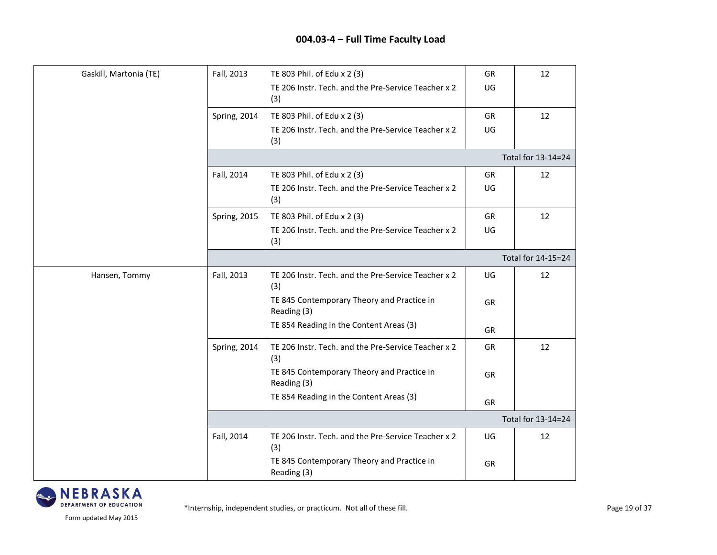| Gaskill, Martonia (TE) | Fall, 2013   | TE 803 Phil. of Edu x 2 (3)                                | GR        | 12                 |
|------------------------|--------------|------------------------------------------------------------|-----------|--------------------|
|                        |              | TE 206 Instr. Tech. and the Pre-Service Teacher x 2<br>(3) | UG        |                    |
|                        | Spring, 2014 | TE 803 Phil. of Edu x 2 (3)                                | GR        | 12                 |
|                        |              | TE 206 Instr. Tech. and the Pre-Service Teacher x 2<br>(3) | UG        |                    |
|                        |              |                                                            |           | Total for 13-14=24 |
|                        | Fall, 2014   | TE 803 Phil. of Edu x 2 (3)                                | GR        | 12                 |
|                        |              | TE 206 Instr. Tech. and the Pre-Service Teacher x 2<br>(3) | UG        |                    |
|                        | Spring, 2015 | TE 803 Phil. of Edu x 2 (3)                                | GR        | 12                 |
|                        |              | TE 206 Instr. Tech. and the Pre-Service Teacher x 2<br>(3) | UG        |                    |
|                        |              |                                                            |           | Total for 14-15=24 |
| Hansen, Tommy          | Fall, 2013   | TE 206 Instr. Tech. and the Pre-Service Teacher x 2<br>(3) | UG        | 12                 |
|                        |              | TE 845 Contemporary Theory and Practice in<br>Reading (3)  | GR        |                    |
|                        |              | TE 854 Reading in the Content Areas (3)                    | <b>GR</b> |                    |
|                        | Spring, 2014 | TE 206 Instr. Tech. and the Pre-Service Teacher x 2<br>(3) | GR        | 12                 |
|                        |              | TE 845 Contemporary Theory and Practice in<br>Reading (3)  | GR        |                    |
|                        |              | TE 854 Reading in the Content Areas (3)                    | GR        |                    |
|                        |              |                                                            |           | Total for 13-14=24 |
|                        | Fall, 2014   | TE 206 Instr. Tech. and the Pre-Service Teacher x 2<br>(3) | UG        | 12                 |
|                        |              | TE 845 Contemporary Theory and Practice in<br>Reading (3)  | GR        |                    |

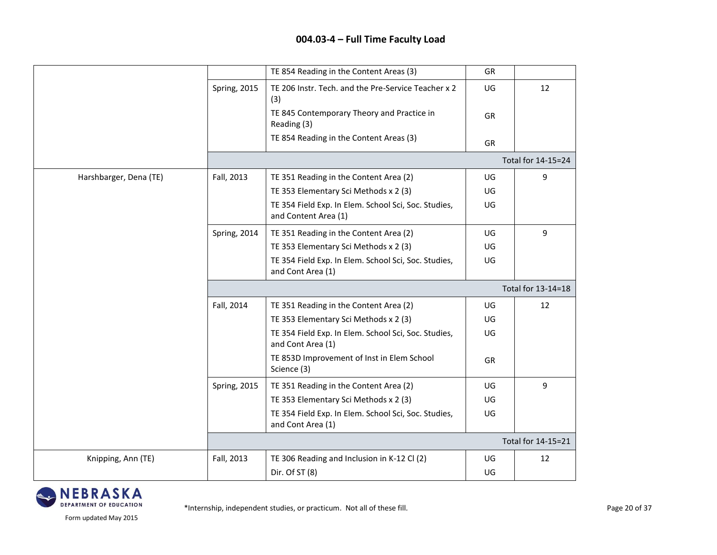|                        |                     | TE 854 Reading in the Content Areas (3)                                      | <b>GR</b> |                    |
|------------------------|---------------------|------------------------------------------------------------------------------|-----------|--------------------|
|                        | Spring, 2015        | TE 206 Instr. Tech. and the Pre-Service Teacher x 2<br>(3)                   | UG        | 12                 |
|                        |                     | TE 845 Contemporary Theory and Practice in<br>Reading (3)                    | <b>GR</b> |                    |
|                        |                     | TE 854 Reading in the Content Areas (3)                                      | <b>GR</b> |                    |
|                        |                     |                                                                              |           | Total for 14-15=24 |
| Harshbarger, Dena (TE) | Fall, 2013          | TE 351 Reading in the Content Area (2)                                       | UG        | 9                  |
|                        |                     | TE 353 Elementary Sci Methods x 2 (3)                                        | UG        |                    |
|                        |                     | TE 354 Field Exp. In Elem. School Sci, Soc. Studies,<br>and Content Area (1) | UG        |                    |
|                        | Spring, 2014        | TE 351 Reading in the Content Area (2)                                       | UG        | 9                  |
|                        |                     | TE 353 Elementary Sci Methods x 2 (3)                                        | UG        |                    |
|                        |                     | TE 354 Field Exp. In Elem. School Sci, Soc. Studies,<br>and Cont Area (1)    | UG        |                    |
|                        |                     |                                                                              |           | Total for 13-14=18 |
|                        | Fall, 2014          | TE 351 Reading in the Content Area (2)                                       | UG        | 12                 |
|                        |                     | TE 353 Elementary Sci Methods x 2 (3)                                        | UG        |                    |
|                        |                     | TE 354 Field Exp. In Elem. School Sci, Soc. Studies,<br>and Cont Area (1)    | UG        |                    |
|                        |                     | TE 853D Improvement of Inst in Elem School<br>Science (3)                    | GR        |                    |
|                        | <b>Spring, 2015</b> | TE 351 Reading in the Content Area (2)                                       | UG        | 9                  |
|                        |                     | TE 353 Elementary Sci Methods x 2 (3)                                        | UG        |                    |
|                        |                     | TE 354 Field Exp. In Elem. School Sci, Soc. Studies,<br>and Cont Area (1)    | UG        |                    |
|                        |                     |                                                                              |           | Total for 14-15=21 |
| Knipping, Ann (TE)     | Fall, 2013          | TE 306 Reading and Inclusion in K-12 Cl (2)                                  | UG        | 12                 |
|                        |                     | Dir. Of ST (8)                                                               | UG        |                    |

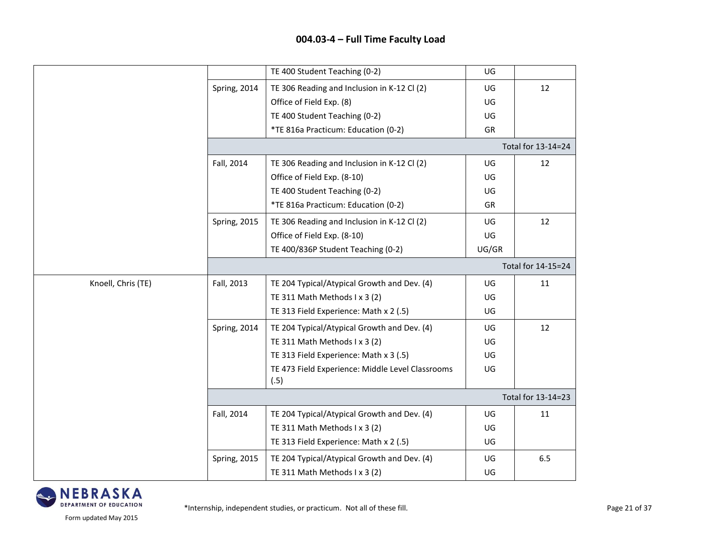|                    |                     | TE 400 Student Teaching (0-2)                            | UG    |                    |
|--------------------|---------------------|----------------------------------------------------------|-------|--------------------|
|                    | Spring, 2014        | TE 306 Reading and Inclusion in K-12 Cl (2)              | UG    | 12                 |
|                    |                     | Office of Field Exp. (8)                                 | UG    |                    |
|                    |                     | TE 400 Student Teaching (0-2)                            | UG    |                    |
|                    |                     | *TE 816a Practicum: Education (0-2)                      | GR    |                    |
|                    |                     |                                                          |       | Total for 13-14=24 |
|                    | Fall, 2014          | TE 306 Reading and Inclusion in K-12 Cl (2)              | UG    | 12                 |
|                    |                     | Office of Field Exp. (8-10)                              | UG    |                    |
|                    |                     | TE 400 Student Teaching (0-2)                            | UG    |                    |
|                    |                     | *TE 816a Practicum: Education (0-2)                      | GR    |                    |
|                    | Spring, 2015        | TE 306 Reading and Inclusion in K-12 Cl (2)              | UG    | 12                 |
|                    |                     | Office of Field Exp. (8-10)                              | UG    |                    |
|                    |                     | TE 400/836P Student Teaching (0-2)                       | UG/GR |                    |
|                    |                     |                                                          |       | Total for 14-15=24 |
| Knoell, Chris (TE) | Fall, 2013          | TE 204 Typical/Atypical Growth and Dev. (4)              | UG    | 11                 |
|                    |                     | TE 311 Math Methods I x 3 (2)                            | UG    |                    |
|                    |                     | TE 313 Field Experience: Math x 2 (.5)                   | UG    |                    |
|                    | Spring, 2014        | TE 204 Typical/Atypical Growth and Dev. (4)              | UG    | 12                 |
|                    |                     | TE 311 Math Methods I x 3 (2)                            | UG    |                    |
|                    |                     | TE 313 Field Experience: Math x 3 (.5)                   | UG    |                    |
|                    |                     | TE 473 Field Experience: Middle Level Classrooms<br>(.5) | UG    |                    |
|                    |                     |                                                          |       | Total for 13-14=23 |
|                    | Fall, 2014          | TE 204 Typical/Atypical Growth and Dev. (4)              | UG    | 11                 |
|                    |                     | TE 311 Math Methods I x 3 (2)                            | UG    |                    |
|                    |                     | TE 313 Field Experience: Math x 2 (.5)                   | UG    |                    |
|                    | <b>Spring, 2015</b> | TE 204 Typical/Atypical Growth and Dev. (4)              | UG    | 6.5                |
|                    |                     | TE 311 Math Methods I x 3 (2)                            | UG    |                    |

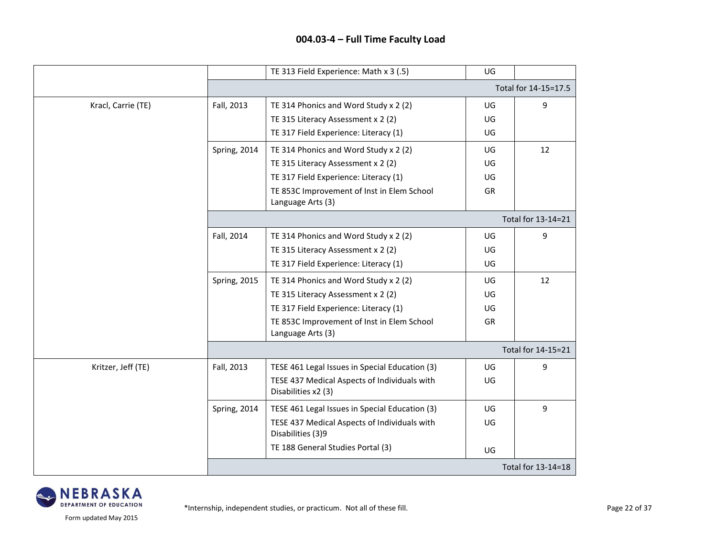|                    |                     | TE 313 Field Experience: Math x 3 (.5)                              | UG |                      |
|--------------------|---------------------|---------------------------------------------------------------------|----|----------------------|
|                    |                     |                                                                     |    | Total for 14-15=17.5 |
| Kracl, Carrie (TE) | Fall, 2013          | TE 314 Phonics and Word Study x 2 (2)                               | UG | 9                    |
|                    |                     | TE 315 Literacy Assessment x 2 (2)                                  | UG |                      |
|                    |                     | TE 317 Field Experience: Literacy (1)                               | UG |                      |
|                    | <b>Spring, 2014</b> | TE 314 Phonics and Word Study x 2 (2)                               | UG | 12                   |
|                    |                     | TE 315 Literacy Assessment x 2 (2)                                  | UG |                      |
|                    |                     | TE 317 Field Experience: Literacy (1)                               | UG |                      |
|                    |                     | TE 853C Improvement of Inst in Elem School<br>Language Arts (3)     | GR |                      |
|                    |                     |                                                                     |    | Total for 13-14=21   |
|                    | Fall, 2014          | TE 314 Phonics and Word Study x 2 (2)                               | UG | 9                    |
|                    |                     | TE 315 Literacy Assessment x 2 (2)                                  | UG |                      |
|                    |                     | TE 317 Field Experience: Literacy (1)                               | UG |                      |
|                    | <b>Spring, 2015</b> | TE 314 Phonics and Word Study x 2 (2)                               | UG | 12                   |
|                    |                     | TE 315 Literacy Assessment x 2 (2)                                  | UG |                      |
|                    |                     | TE 317 Field Experience: Literacy (1)                               | UG |                      |
|                    |                     | TE 853C Improvement of Inst in Elem School<br>Language Arts (3)     | GR |                      |
|                    |                     |                                                                     |    | Total for 14-15=21   |
| Kritzer, Jeff (TE) | Fall, 2013          | TESE 461 Legal Issues in Special Education (3)                      | UG | 9                    |
|                    |                     | TESE 437 Medical Aspects of Individuals with<br>Disabilities x2 (3) | UG |                      |
|                    | Spring, 2014        | TESE 461 Legal Issues in Special Education (3)                      | UG | 9                    |
|                    |                     | TESE 437 Medical Aspects of Individuals with<br>Disabilities (3)9   | UG |                      |
|                    |                     | TE 188 General Studies Portal (3)                                   | UG |                      |
|                    |                     |                                                                     |    | Total for 13-14=18   |

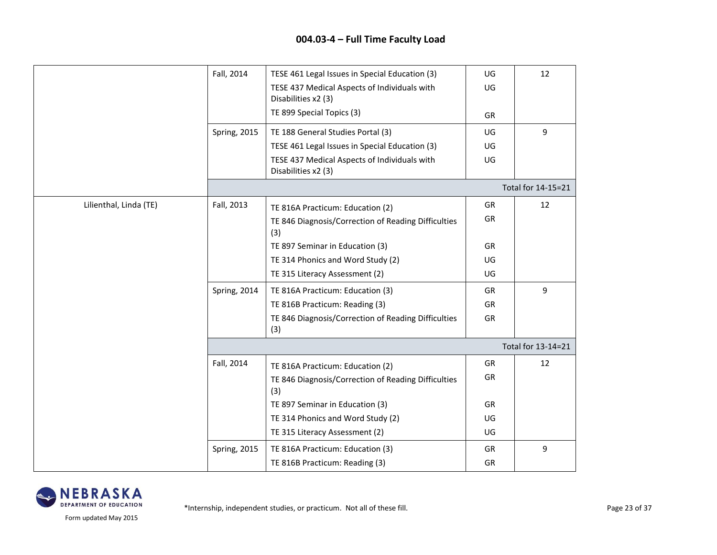|                        | Fall, 2014          | TESE 461 Legal Issues in Special Education (3)                      | UG        | 12                 |
|------------------------|---------------------|---------------------------------------------------------------------|-----------|--------------------|
|                        |                     | TESE 437 Medical Aspects of Individuals with<br>Disabilities x2 (3) | UG        |                    |
|                        |                     | TE 899 Special Topics (3)                                           | GR        |                    |
|                        | <b>Spring, 2015</b> | TE 188 General Studies Portal (3)                                   | UG        | 9                  |
|                        |                     | TESE 461 Legal Issues in Special Education (3)                      | UG        |                    |
|                        |                     | TESE 437 Medical Aspects of Individuals with<br>Disabilities x2 (3) | UG        |                    |
|                        |                     |                                                                     |           | Total for 14-15=21 |
| Lilienthal, Linda (TE) | Fall, 2013          | TE 816A Practicum: Education (2)                                    | GR        | 12                 |
|                        |                     | TE 846 Diagnosis/Correction of Reading Difficulties<br>(3)          | GR        |                    |
|                        |                     | TE 897 Seminar in Education (3)                                     | GR        |                    |
|                        |                     | TE 314 Phonics and Word Study (2)                                   | UG        |                    |
|                        |                     | TE 315 Literacy Assessment (2)                                      | UG        |                    |
|                        | Spring, 2014        | TE 816A Practicum: Education (3)                                    | GR        | 9                  |
|                        |                     | TE 816B Practicum: Reading (3)                                      | GR        |                    |
|                        |                     | TE 846 Diagnosis/Correction of Reading Difficulties<br>(3)          | GR        |                    |
|                        |                     |                                                                     |           | Total for 13-14=21 |
|                        | Fall, 2014          | TE 816A Practicum: Education (2)                                    | GR        | 12                 |
|                        |                     | TE 846 Diagnosis/Correction of Reading Difficulties<br>(3)          | GR        |                    |
|                        |                     | TE 897 Seminar in Education (3)                                     | <b>GR</b> |                    |
|                        |                     | TE 314 Phonics and Word Study (2)                                   | UG        |                    |
|                        |                     | TE 315 Literacy Assessment (2)                                      | UG        |                    |
|                        | Spring, 2015        | TE 816A Practicum: Education (3)                                    | <b>GR</b> | 9                  |
|                        |                     | TE 816B Practicum: Reading (3)                                      | <b>GR</b> |                    |

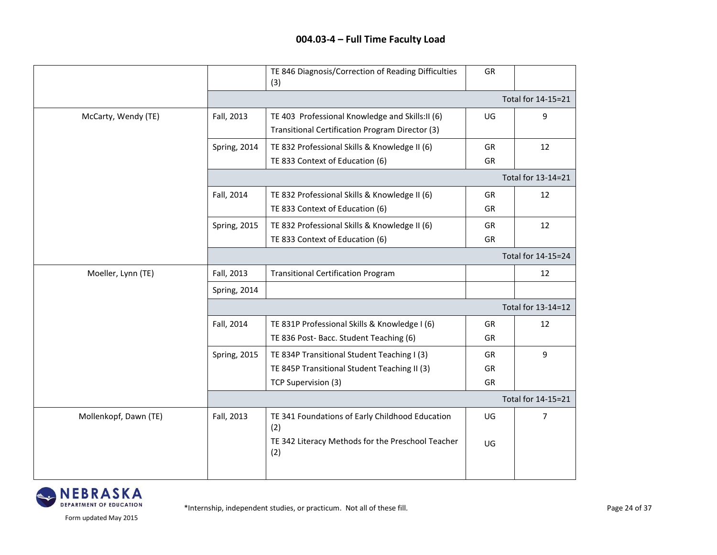|                       |                     | TE 846 Diagnosis/Correction of Reading Difficulties<br>(3)                                         | GR        |                    |
|-----------------------|---------------------|----------------------------------------------------------------------------------------------------|-----------|--------------------|
|                       |                     |                                                                                                    |           | Total for 14-15=21 |
| McCarty, Wendy (TE)   | Fall, 2013          | TE 403 Professional Knowledge and Skills:II (6)<br>Transitional Certification Program Director (3) | UG        | 9                  |
|                       | Spring, 2014        | TE 832 Professional Skills & Knowledge II (6)                                                      | GR        | 12                 |
|                       |                     | TE 833 Context of Education (6)                                                                    | GR        |                    |
|                       |                     |                                                                                                    |           | Total for 13-14=21 |
|                       | Fall, 2014          | TE 832 Professional Skills & Knowledge II (6)                                                      | GR        | 12                 |
|                       |                     | TE 833 Context of Education (6)                                                                    | <b>GR</b> |                    |
|                       | Spring, 2015        | TE 832 Professional Skills & Knowledge II (6)                                                      | <b>GR</b> | 12                 |
|                       |                     | TE 833 Context of Education (6)                                                                    | GR        |                    |
|                       |                     |                                                                                                    |           | Total for 14-15=24 |
| Moeller, Lynn (TE)    | Fall, 2013          | <b>Transitional Certification Program</b>                                                          |           | 12                 |
|                       | Spring, 2014        |                                                                                                    |           |                    |
|                       |                     |                                                                                                    |           | Total for 13-14=12 |
|                       | Fall, 2014          | TE 831P Professional Skills & Knowledge I (6)<br>TE 836 Post-Bacc. Student Teaching (6)            | GR<br>GR  | 12                 |
|                       | <b>Spring, 2015</b> | TE 834P Transitional Student Teaching I (3)                                                        | <b>GR</b> | 9                  |
|                       |                     | TE 845P Transitional Student Teaching II (3)                                                       | GR        |                    |
|                       |                     | TCP Supervision (3)                                                                                | GR        |                    |
|                       |                     |                                                                                                    |           | Total for 14-15=21 |
| Mollenkopf, Dawn (TE) | Fall, 2013          | TE 341 Foundations of Early Childhood Education<br>(2)                                             | UG        | 7                  |
|                       |                     | TE 342 Literacy Methods for the Preschool Teacher<br>(2)                                           | UG        |                    |
|                       |                     |                                                                                                    |           |                    |

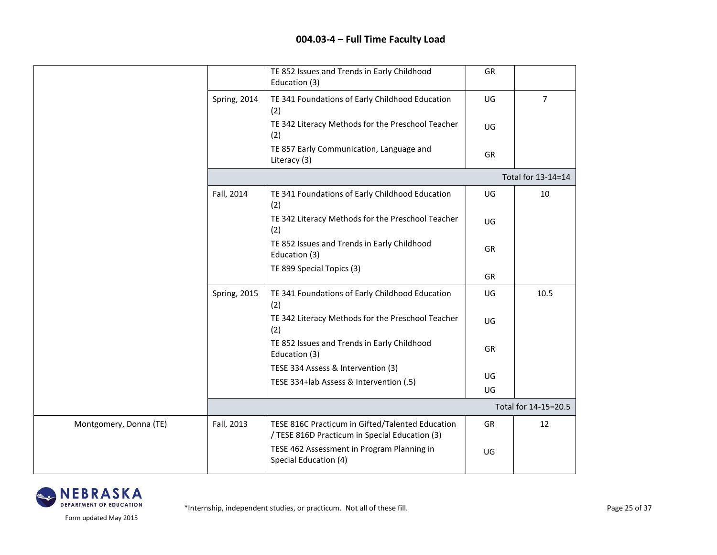|                        |              | TE 852 Issues and Trends in Early Childhood<br>Education (3)                                       | GR |                      |
|------------------------|--------------|----------------------------------------------------------------------------------------------------|----|----------------------|
|                        | Spring, 2014 | TE 341 Foundations of Early Childhood Education<br>(2)                                             | UG | $\overline{7}$       |
|                        |              | TE 342 Literacy Methods for the Preschool Teacher<br>(2)                                           | UG |                      |
|                        |              | TE 857 Early Communication, Language and<br>Literacy (3)                                           | GR |                      |
|                        |              |                                                                                                    |    | Total for 13-14=14   |
|                        | Fall, 2014   | TE 341 Foundations of Early Childhood Education<br>(2)                                             | UG | 10                   |
|                        |              | TE 342 Literacy Methods for the Preschool Teacher<br>(2)                                           | UG |                      |
|                        |              | TE 852 Issues and Trends in Early Childhood<br>Education (3)                                       | GR |                      |
|                        |              | TE 899 Special Topics (3)                                                                          | GR |                      |
|                        | Spring, 2015 | TE 341 Foundations of Early Childhood Education<br>(2)                                             | UG | 10.5                 |
|                        |              | TE 342 Literacy Methods for the Preschool Teacher<br>(2)                                           | UG |                      |
|                        |              | TE 852 Issues and Trends in Early Childhood<br>Education (3)                                       | GR |                      |
|                        |              | TESE 334 Assess & Intervention (3)                                                                 | UG |                      |
|                        |              | TESE 334+lab Assess & Intervention (.5)                                                            | UG |                      |
|                        |              |                                                                                                    |    | Total for 14-15=20.5 |
| Montgomery, Donna (TE) | Fall, 2013   | TESE 816C Practicum in Gifted/Talented Education<br>/ TESE 816D Practicum in Special Education (3) | GR | 12                   |
|                        |              | TESE 462 Assessment in Program Planning in<br>Special Education (4)                                | UG |                      |

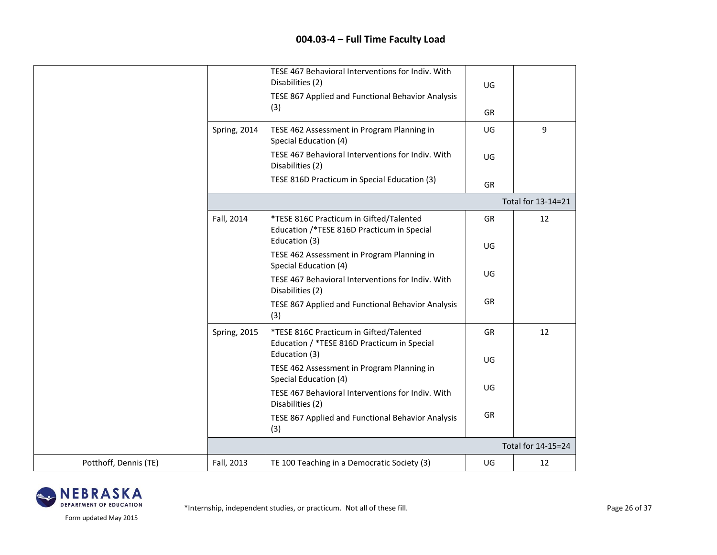|                       |                     | TESE 467 Behavioral Interventions for Indiv. With<br>Disabilities (2)<br>TESE 867 Applied and Functional Behavior Analysis | UG        |                    |
|-----------------------|---------------------|----------------------------------------------------------------------------------------------------------------------------|-----------|--------------------|
|                       |                     | (3)                                                                                                                        | GR        |                    |
|                       | Spring, 2014        | TESE 462 Assessment in Program Planning in<br>Special Education (4)                                                        | UG        | 9                  |
|                       |                     | TESE 467 Behavioral Interventions for Indiv. With<br>Disabilities (2)                                                      | UG        |                    |
|                       |                     | TESE 816D Practicum in Special Education (3)                                                                               | <b>GR</b> |                    |
|                       |                     |                                                                                                                            |           | Total for 13-14=21 |
|                       | Fall, 2014          | *TESE 816C Practicum in Gifted/Talented<br>Education /*TESE 816D Practicum in Special                                      | GR        | 12                 |
|                       |                     | Education (3)<br>TESE 462 Assessment in Program Planning in                                                                | UG        |                    |
|                       |                     | Special Education (4)<br>TESE 467 Behavioral Interventions for Indiv. With                                                 | UG        |                    |
|                       |                     | Disabilities (2)<br>TESE 867 Applied and Functional Behavior Analysis<br>(3)                                               | <b>GR</b> |                    |
|                       | <b>Spring, 2015</b> | *TESE 816C Practicum in Gifted/Talented<br>Education / *TESE 816D Practicum in Special                                     | <b>GR</b> | 12                 |
|                       |                     | Education (3)<br>TESE 462 Assessment in Program Planning in<br>Special Education (4)                                       | UG        |                    |
|                       |                     | TESE 467 Behavioral Interventions for Indiv. With<br>Disabilities (2)                                                      | UG        |                    |
|                       |                     | TESE 867 Applied and Functional Behavior Analysis<br>(3)                                                                   | GR        |                    |
|                       |                     |                                                                                                                            |           | Total for 14-15=24 |
| Potthoff, Dennis (TE) | Fall, 2013          | TE 100 Teaching in a Democratic Society (3)                                                                                | UG        | 12                 |

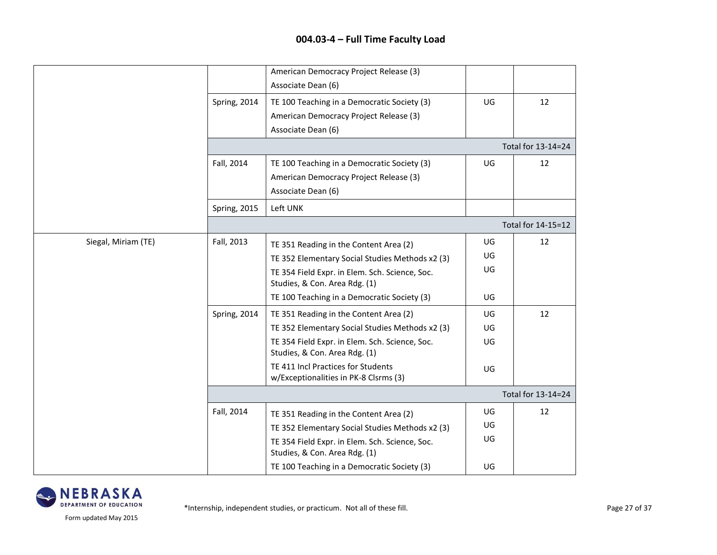|                     |                     | American Democracy Project Release (3)<br>Associate Dean (6)                                                                                                                                                                |                      |                    |  |  |  |
|---------------------|---------------------|-----------------------------------------------------------------------------------------------------------------------------------------------------------------------------------------------------------------------------|----------------------|--------------------|--|--|--|
|                     | Spring, 2014        | TE 100 Teaching in a Democratic Society (3)<br>American Democracy Project Release (3)<br>Associate Dean (6)                                                                                                                 | UG                   | 12                 |  |  |  |
|                     |                     | Total for 13-14=24                                                                                                                                                                                                          |                      |                    |  |  |  |
|                     | Fall, 2014          | TE 100 Teaching in a Democratic Society (3)<br>American Democracy Project Release (3)<br>Associate Dean (6)                                                                                                                 | UG                   | 12                 |  |  |  |
|                     | <b>Spring, 2015</b> | Left UNK                                                                                                                                                                                                                    |                      |                    |  |  |  |
|                     |                     |                                                                                                                                                                                                                             |                      | Total for 14-15=12 |  |  |  |
| Siegal, Miriam (TE) | Fall, 2013          | TE 351 Reading in the Content Area (2)<br>TE 352 Elementary Social Studies Methods x2 (3)<br>TE 354 Field Expr. in Elem. Sch. Science, Soc.<br>Studies, & Con. Area Rdg. (1)                                                | UG<br>UG<br>UG       | 12                 |  |  |  |
|                     |                     | TE 100 Teaching in a Democratic Society (3)                                                                                                                                                                                 | UG                   |                    |  |  |  |
|                     | <b>Spring, 2014</b> | TE 351 Reading in the Content Area (2)<br>TE 352 Elementary Social Studies Methods x2 (3)<br>TE 354 Field Expr. in Elem. Sch. Science, Soc.<br>Studies, & Con. Area Rdg. (1)                                                | UG<br>UG<br>UG       | 12                 |  |  |  |
|                     |                     | TE 411 Incl Practices for Students<br>w/Exceptionalities in PK-8 Clsrms (3)                                                                                                                                                 | UG                   |                    |  |  |  |
|                     |                     |                                                                                                                                                                                                                             |                      | Total for 13-14=24 |  |  |  |
|                     | Fall, 2014          | TE 351 Reading in the Content Area (2)<br>TE 352 Elementary Social Studies Methods x2 (3)<br>TE 354 Field Expr. in Elem. Sch. Science, Soc.<br>Studies, & Con. Area Rdg. (1)<br>TE 100 Teaching in a Democratic Society (3) | UG<br>UG<br>UG<br>UG | 12                 |  |  |  |
|                     |                     |                                                                                                                                                                                                                             |                      |                    |  |  |  |

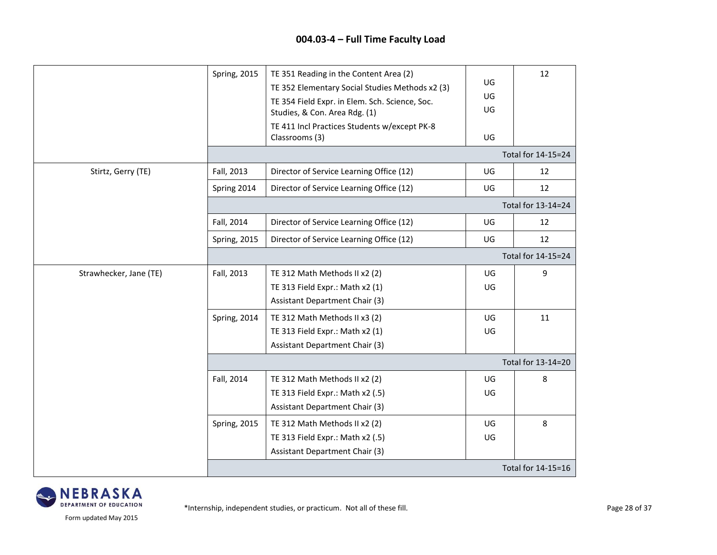|                        | <b>Spring, 2015</b> | TE 351 Reading in the Content Area (2)<br>TE 352 Elementary Social Studies Methods x2 (3)<br>TE 354 Field Expr. in Elem. Sch. Science, Soc.<br>Studies, & Con. Area Rdg. (1)<br>TE 411 Incl Practices Students w/except PK-8<br>Classrooms (3) | UG<br>UG<br>UG<br>UG | 12                 |
|------------------------|---------------------|------------------------------------------------------------------------------------------------------------------------------------------------------------------------------------------------------------------------------------------------|----------------------|--------------------|
|                        |                     |                                                                                                                                                                                                                                                |                      | Total for 14-15=24 |
| Stirtz, Gerry (TE)     | Fall, 2013          | Director of Service Learning Office (12)                                                                                                                                                                                                       | UG                   | 12                 |
|                        | Spring 2014         | Director of Service Learning Office (12)                                                                                                                                                                                                       | UG                   | 12                 |
|                        |                     |                                                                                                                                                                                                                                                |                      | Total for 13-14=24 |
|                        | Fall, 2014          | Director of Service Learning Office (12)                                                                                                                                                                                                       | UG                   | 12                 |
|                        | Spring, 2015        | Director of Service Learning Office (12)                                                                                                                                                                                                       | UG                   | 12                 |
|                        |                     |                                                                                                                                                                                                                                                |                      | Total for 14-15=24 |
| Strawhecker, Jane (TE) | Fall, 2013          | TE 312 Math Methods II x2 (2)                                                                                                                                                                                                                  | UG                   | 9                  |
|                        |                     | TE 313 Field Expr.: Math x2 (1)                                                                                                                                                                                                                | UG                   |                    |
|                        |                     | Assistant Department Chair (3)                                                                                                                                                                                                                 |                      |                    |
|                        | <b>Spring, 2014</b> | TE 312 Math Methods II x3 (2)                                                                                                                                                                                                                  | UG                   | 11                 |
|                        |                     | TE 313 Field Expr.: Math x2 (1)                                                                                                                                                                                                                | UG                   |                    |
|                        |                     | <b>Assistant Department Chair (3)</b>                                                                                                                                                                                                          |                      |                    |
|                        |                     |                                                                                                                                                                                                                                                |                      | Total for 13-14=20 |
|                        | Fall, 2014          | TE 312 Math Methods II x2 (2)                                                                                                                                                                                                                  | UG                   | 8                  |
|                        |                     | TE 313 Field Expr.: Math x2 (.5)                                                                                                                                                                                                               | UG                   |                    |
|                        |                     | <b>Assistant Department Chair (3)</b>                                                                                                                                                                                                          |                      |                    |
|                        | <b>Spring, 2015</b> | TE 312 Math Methods II x2 (2)                                                                                                                                                                                                                  | UG                   | 8                  |
|                        |                     | TE 313 Field Expr.: Math x2 (.5)                                                                                                                                                                                                               | UG                   |                    |
|                        |                     | <b>Assistant Department Chair (3)</b>                                                                                                                                                                                                          |                      |                    |
|                        |                     |                                                                                                                                                                                                                                                |                      | Total for 14-15=16 |

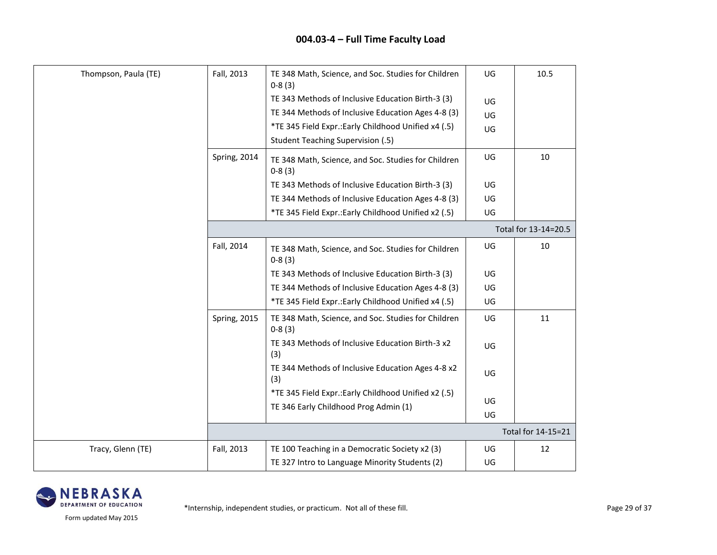| Thompson, Paula (TE) | Fall, 2013           | TE 348 Math, Science, and Soc. Studies for Children<br>$0-8(3)$ | UG | 10.5               |  |  |
|----------------------|----------------------|-----------------------------------------------------------------|----|--------------------|--|--|
|                      |                      | TE 343 Methods of Inclusive Education Birth-3 (3)               | UG |                    |  |  |
|                      |                      | TE 344 Methods of Inclusive Education Ages 4-8 (3)              | UG |                    |  |  |
|                      |                      | *TE 345 Field Expr .: Early Childhood Unified x4 (.5)           | UG |                    |  |  |
|                      |                      | <b>Student Teaching Supervision (.5)</b>                        |    |                    |  |  |
|                      | Spring, 2014         | TE 348 Math, Science, and Soc. Studies for Children<br>$0-8(3)$ | UG | 10                 |  |  |
|                      |                      | TE 343 Methods of Inclusive Education Birth-3 (3)               | UG |                    |  |  |
|                      |                      | TE 344 Methods of Inclusive Education Ages 4-8 (3)              | UG |                    |  |  |
|                      |                      | *TE 345 Field Expr.: Early Childhood Unified x2 (.5)            | UG |                    |  |  |
|                      | Total for 13-14=20.5 |                                                                 |    |                    |  |  |
|                      | Fall, 2014           | TE 348 Math, Science, and Soc. Studies for Children<br>$0-8(3)$ | UG | 10                 |  |  |
|                      |                      | TE 343 Methods of Inclusive Education Birth-3 (3)               | UG |                    |  |  |
|                      |                      | TE 344 Methods of Inclusive Education Ages 4-8 (3)              | UG |                    |  |  |
|                      |                      | *TE 345 Field Expr.: Early Childhood Unified x4 (.5)            | UG |                    |  |  |
|                      | <b>Spring, 2015</b>  | TE 348 Math, Science, and Soc. Studies for Children<br>$0-8(3)$ | UG | 11                 |  |  |
|                      |                      | TE 343 Methods of Inclusive Education Birth-3 x2<br>(3)         | UG |                    |  |  |
|                      |                      | TE 344 Methods of Inclusive Education Ages 4-8 x2<br>(3)        | UG |                    |  |  |
|                      |                      | *TE 345 Field Expr.: Early Childhood Unified x2 (.5)            |    |                    |  |  |
|                      |                      | TE 346 Early Childhood Prog Admin (1)                           | UG |                    |  |  |
|                      |                      |                                                                 | UG |                    |  |  |
|                      |                      |                                                                 |    | Total for 14-15=21 |  |  |
| Tracy, Glenn (TE)    | Fall, 2013           | TE 100 Teaching in a Democratic Society x2 (3)                  | UG | 12                 |  |  |
|                      |                      | TE 327 Intro to Language Minority Students (2)                  | UG |                    |  |  |

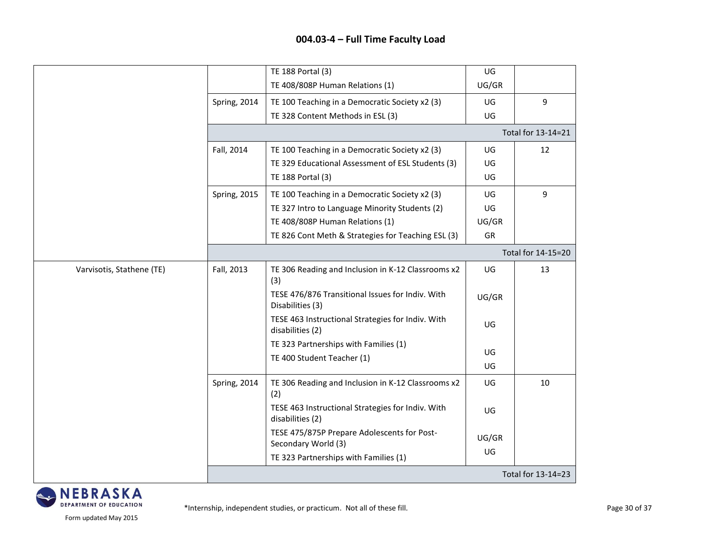|                           |                     | TE 188 Portal (3)                                                     | UG    |                    |
|---------------------------|---------------------|-----------------------------------------------------------------------|-------|--------------------|
|                           |                     | TE 408/808P Human Relations (1)                                       | UG/GR |                    |
|                           | Spring, 2014        | TE 100 Teaching in a Democratic Society x2 (3)                        | UG    | 9                  |
|                           |                     | TE 328 Content Methods in ESL (3)                                     | UG    |                    |
|                           |                     |                                                                       |       | Total for 13-14=21 |
|                           | Fall, 2014          | TE 100 Teaching in a Democratic Society x2 (3)                        | UG    | 12                 |
|                           |                     | TE 329 Educational Assessment of ESL Students (3)                     | UG    |                    |
|                           |                     | TE 188 Portal (3)                                                     | UG    |                    |
|                           | <b>Spring, 2015</b> | TE 100 Teaching in a Democratic Society x2 (3)                        | UG    | 9                  |
|                           |                     | TE 327 Intro to Language Minority Students (2)                        | UG    |                    |
|                           |                     | TE 408/808P Human Relations (1)                                       | UG/GR |                    |
|                           |                     | TE 826 Cont Meth & Strategies for Teaching ESL (3)                    | GR    |                    |
|                           |                     |                                                                       |       | Total for 14-15=20 |
| Varvisotis, Stathene (TE) | Fall, 2013          | TE 306 Reading and Inclusion in K-12 Classrooms x2<br>(3)             | UG    | 13                 |
|                           |                     | TESE 476/876 Transitional Issues for Indiv. With<br>Disabilities (3)  | UG/GR |                    |
|                           |                     | TESE 463 Instructional Strategies for Indiv. With<br>disabilities (2) | UG    |                    |
|                           |                     | TE 323 Partnerships with Families (1)                                 | UG    |                    |
|                           |                     | TE 400 Student Teacher (1)                                            | UG    |                    |
|                           | Spring, 2014        | TE 306 Reading and Inclusion in K-12 Classrooms x2<br>(2)             | UG    | 10                 |
|                           |                     | TESE 463 Instructional Strategies for Indiv. With<br>disabilities (2) | UG    |                    |
|                           |                     | TESE 475/875P Prepare Adolescents for Post-<br>Secondary World (3)    | UG/GR |                    |
|                           |                     | TE 323 Partnerships with Families (1)                                 | UG    |                    |
|                           |                     |                                                                       |       | Total for 13-14=23 |

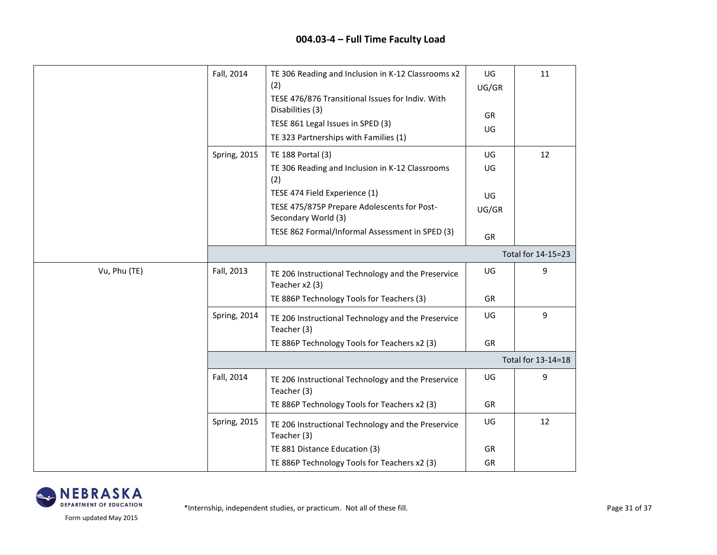|              | Fall, 2014          | TE 306 Reading and Inclusion in K-12 Classrooms x2                   | UG    | 11                 |
|--------------|---------------------|----------------------------------------------------------------------|-------|--------------------|
|              |                     | (2)<br>TESE 476/876 Transitional Issues for Indiv. With              | UG/GR |                    |
|              |                     | Disabilities (3)                                                     | GR    |                    |
|              |                     | TESE 861 Legal Issues in SPED (3)                                    | UG    |                    |
|              |                     | TE 323 Partnerships with Families (1)                                |       |                    |
|              | <b>Spring, 2015</b> | TE 188 Portal (3)                                                    | UG    | 12                 |
|              |                     | TE 306 Reading and Inclusion in K-12 Classrooms<br>(2)               | UG    |                    |
|              |                     | TESE 474 Field Experience (1)                                        | UG    |                    |
|              |                     | TESE 475/875P Prepare Adolescents for Post-<br>Secondary World (3)   | UG/GR |                    |
|              |                     | TESE 862 Formal/Informal Assessment in SPED (3)                      | GR    |                    |
|              |                     |                                                                      |       | Total for 14-15=23 |
| Vu, Phu (TE) | Fall, 2013          | TE 206 Instructional Technology and the Preservice<br>Teacher x2 (3) | UG    | 9                  |
|              |                     | TE 886P Technology Tools for Teachers (3)                            | GR    |                    |
|              | Spring, 2014        | TE 206 Instructional Technology and the Preservice<br>Teacher (3)    | UG    | 9                  |
|              |                     | TE 886P Technology Tools for Teachers x2 (3)                         | GR    |                    |
|              |                     |                                                                      |       | Total for 13-14=18 |
|              | Fall, 2014          | TE 206 Instructional Technology and the Preservice<br>Teacher (3)    | UG    | 9                  |
|              |                     | TE 886P Technology Tools for Teachers x2 (3)                         | GR    |                    |
|              | Spring, 2015        | TE 206 Instructional Technology and the Preservice<br>Teacher (3)    | UG    | 12                 |
|              |                     | TE 881 Distance Education (3)                                        | GR    |                    |
|              |                     | TE 886P Technology Tools for Teachers x2 (3)                         | GR    |                    |

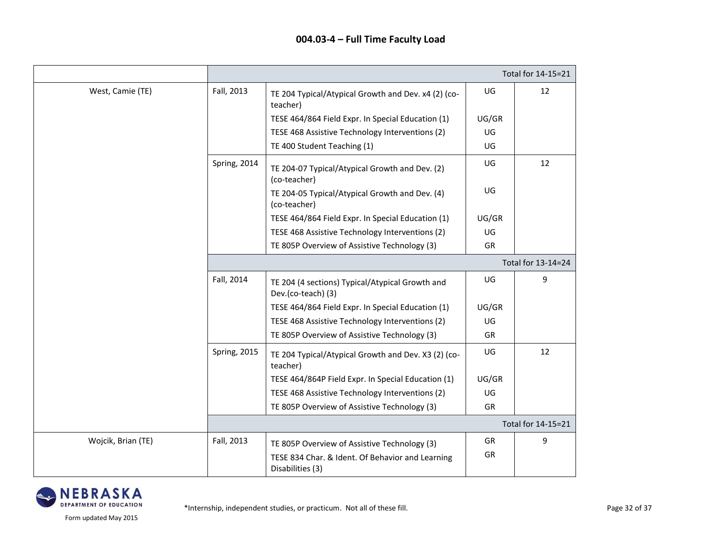|                    |                    |                                                                       |           | Total for 14-15=21 |  |
|--------------------|--------------------|-----------------------------------------------------------------------|-----------|--------------------|--|
| West, Camie (TE)   | Fall, 2013         | TE 204 Typical/Atypical Growth and Dev. x4 (2) (co-<br>teacher)       | UG        | 12                 |  |
|                    |                    | TESE 464/864 Field Expr. In Special Education (1)                     | UG/GR     |                    |  |
|                    |                    | TESE 468 Assistive Technology Interventions (2)                       | UG        |                    |  |
|                    |                    | TE 400 Student Teaching (1)                                           | UG        |                    |  |
|                    | Spring, 2014       | TE 204-07 Typical/Atypical Growth and Dev. (2)<br>(co-teacher)        | UG        | 12                 |  |
|                    |                    | TE 204-05 Typical/Atypical Growth and Dev. (4)<br>(co-teacher)        | UG        |                    |  |
|                    |                    | TESE 464/864 Field Expr. In Special Education (1)                     | UG/GR     |                    |  |
|                    |                    | TESE 468 Assistive Technology Interventions (2)                       | UG        |                    |  |
|                    |                    | TE 805P Overview of Assistive Technology (3)                          | GR        |                    |  |
|                    | Total for 13-14=24 |                                                                       |           |                    |  |
|                    | Fall, 2014         | TE 204 (4 sections) Typical/Atypical Growth and<br>Dev.(co-teach) (3) | UG        | 9                  |  |
|                    |                    | TESE 464/864 Field Expr. In Special Education (1)                     | UG/GR     |                    |  |
|                    |                    | TESE 468 Assistive Technology Interventions (2)                       | UG        |                    |  |
|                    |                    | TE 805P Overview of Assistive Technology (3)                          | <b>GR</b> |                    |  |
|                    | Spring, 2015       | TE 204 Typical/Atypical Growth and Dev. X3 (2) (co-<br>teacher)       | UG        | 12                 |  |
|                    |                    | TESE 464/864P Field Expr. In Special Education (1)                    | UG/GR     |                    |  |
|                    |                    | TESE 468 Assistive Technology Interventions (2)                       | UG        |                    |  |
|                    |                    | TE 805P Overview of Assistive Technology (3)                          | GR        |                    |  |
|                    |                    |                                                                       |           | Total for 14-15=21 |  |
| Wojcik, Brian (TE) | Fall, 2013         | TE 805P Overview of Assistive Technology (3)                          | <b>GR</b> | 9                  |  |
|                    |                    | TESE 834 Char. & Ident. Of Behavior and Learning<br>Disabilities (3)  | GR        |                    |  |

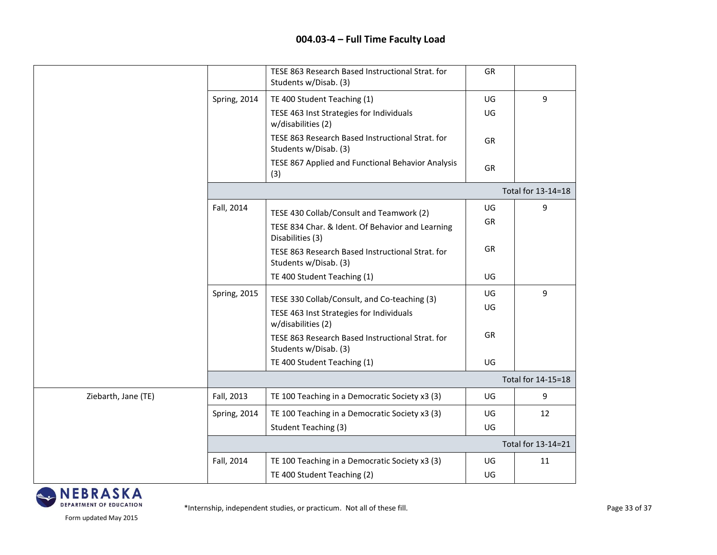|                     |                     | TESE 863 Research Based Instructional Strat. for<br>Students w/Disab. (3) | GR |                    |
|---------------------|---------------------|---------------------------------------------------------------------------|----|--------------------|
|                     | Spring, 2014        | TE 400 Student Teaching (1)                                               | UG | 9                  |
|                     |                     | TESE 463 Inst Strategies for Individuals<br>w/disabilities (2)            | UG |                    |
|                     |                     | TESE 863 Research Based Instructional Strat. for<br>Students w/Disab. (3) | GR |                    |
|                     |                     | TESE 867 Applied and Functional Behavior Analysis<br>(3)                  | GR |                    |
|                     |                     |                                                                           |    | Total for 13-14=18 |
|                     | Fall, 2014          | TESE 430 Collab/Consult and Teamwork (2)                                  | UG | 9                  |
|                     |                     | TESE 834 Char. & Ident. Of Behavior and Learning<br>Disabilities (3)      | GR |                    |
|                     |                     | TESE 863 Research Based Instructional Strat. for<br>Students w/Disab. (3) | GR |                    |
|                     |                     | TE 400 Student Teaching (1)                                               | UG |                    |
|                     | <b>Spring, 2015</b> | TESE 330 Collab/Consult, and Co-teaching (3)                              | UG | 9                  |
|                     |                     | TESE 463 Inst Strategies for Individuals<br>w/disabilities (2)            | UG |                    |
|                     |                     | TESE 863 Research Based Instructional Strat. for<br>Students w/Disab. (3) | GR |                    |
|                     |                     | TE 400 Student Teaching (1)                                               | UG |                    |
|                     |                     |                                                                           |    | Total for 14-15=18 |
| Ziebarth, Jane (TE) | Fall, 2013          | TE 100 Teaching in a Democratic Society x3 (3)                            | UG | 9                  |
|                     | Spring, 2014        | TE 100 Teaching in a Democratic Society x3 (3)                            | UG | 12                 |
|                     |                     | <b>Student Teaching (3)</b>                                               | UG |                    |
|                     |                     |                                                                           |    | Total for 13-14=21 |
|                     | Fall, 2014          | TE 100 Teaching in a Democratic Society x3 (3)                            | UG | 11                 |
|                     |                     | TE 400 Student Teaching (2)                                               | UG |                    |

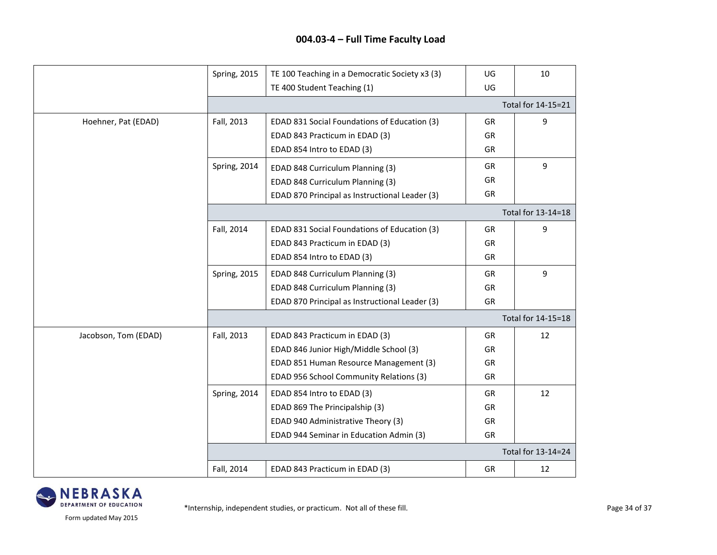|                      | <b>Spring, 2015</b> | TE 100 Teaching in a Democratic Society x3 (3) | UG        | 10                 |
|----------------------|---------------------|------------------------------------------------|-----------|--------------------|
|                      |                     | TE 400 Student Teaching (1)                    | UG        |                    |
|                      |                     |                                                |           | Total for 14-15=21 |
| Hoehner, Pat (EDAD)  | Fall, 2013          | EDAD 831 Social Foundations of Education (3)   | GR        | 9                  |
|                      |                     | EDAD 843 Practicum in EDAD (3)                 | GR        |                    |
|                      |                     | EDAD 854 Intro to EDAD (3)                     | GR        |                    |
|                      | Spring, 2014        | EDAD 848 Curriculum Planning (3)               | <b>GR</b> | 9                  |
|                      |                     | EDAD 848 Curriculum Planning (3)               | GR        |                    |
|                      |                     | EDAD 870 Principal as Instructional Leader (3) | GR        |                    |
|                      |                     |                                                |           | Total for 13-14=18 |
|                      | Fall, 2014          | EDAD 831 Social Foundations of Education (3)   | GR        | 9                  |
|                      |                     | EDAD 843 Practicum in EDAD (3)                 | GR        |                    |
|                      |                     | EDAD 854 Intro to EDAD (3)                     | GR        |                    |
|                      | <b>Spring, 2015</b> | EDAD 848 Curriculum Planning (3)               | GR        | 9                  |
|                      |                     | EDAD 848 Curriculum Planning (3)               | GR        |                    |
|                      |                     | EDAD 870 Principal as Instructional Leader (3) | GR        |                    |
|                      |                     |                                                |           | Total for 14-15=18 |
| Jacobson, Tom (EDAD) | Fall, 2013          | EDAD 843 Practicum in EDAD (3)                 | GR        | 12                 |
|                      |                     | EDAD 846 Junior High/Middle School (3)         | GR        |                    |
|                      |                     | EDAD 851 Human Resource Management (3)         | GR        |                    |
|                      |                     | EDAD 956 School Community Relations (3)        | GR        |                    |
|                      | Spring, 2014        | EDAD 854 Intro to EDAD (3)                     | GR        | 12                 |
|                      |                     | EDAD 869 The Principalship (3)                 | GR        |                    |
|                      |                     | EDAD 940 Administrative Theory (3)             | GR        |                    |
|                      |                     | EDAD 944 Seminar in Education Admin (3)        | GR        |                    |
|                      |                     |                                                |           | Total for 13-14=24 |
|                      | Fall, 2014          | EDAD 843 Practicum in EDAD (3)                 | GR        | 12                 |

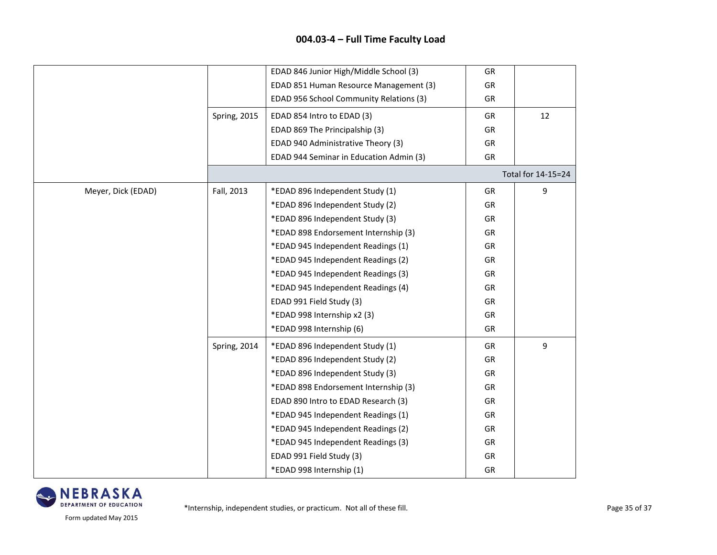|                    |                     | EDAD 846 Junior High/Middle School (3)  | GR        |                    |
|--------------------|---------------------|-----------------------------------------|-----------|--------------------|
|                    |                     | EDAD 851 Human Resource Management (3)  | GR        |                    |
|                    |                     | EDAD 956 School Community Relations (3) | GR        |                    |
|                    | <b>Spring, 2015</b> | EDAD 854 Intro to EDAD (3)              | <b>GR</b> | 12                 |
|                    |                     | EDAD 869 The Principalship (3)          | GR        |                    |
|                    |                     | EDAD 940 Administrative Theory (3)      | GR        |                    |
|                    |                     | EDAD 944 Seminar in Education Admin (3) | GR        |                    |
|                    |                     |                                         |           | Total for 14-15=24 |
| Meyer, Dick (EDAD) | Fall, 2013          | *EDAD 896 Independent Study (1)         | GR        | 9                  |
|                    |                     | *EDAD 896 Independent Study (2)         | GR        |                    |
|                    |                     | *EDAD 896 Independent Study (3)         | GR        |                    |
|                    |                     | *EDAD 898 Endorsement Internship (3)    | GR        |                    |
|                    |                     | *EDAD 945 Independent Readings (1)      | GR        |                    |
|                    |                     | *EDAD 945 Independent Readings (2)      | GR        |                    |
|                    |                     | *EDAD 945 Independent Readings (3)      | GR        |                    |
|                    |                     | *EDAD 945 Independent Readings (4)      | GR        |                    |
|                    |                     | EDAD 991 Field Study (3)                | GR        |                    |
|                    |                     | *EDAD 998 Internship x2 (3)             | GR        |                    |
|                    |                     | *EDAD 998 Internship (6)                | GR        |                    |
|                    | Spring, 2014        | *EDAD 896 Independent Study (1)         | GR        | 9                  |
|                    |                     | *EDAD 896 Independent Study (2)         | GR        |                    |
|                    |                     | *EDAD 896 Independent Study (3)         | GR        |                    |
|                    |                     | *EDAD 898 Endorsement Internship (3)    | GR        |                    |
|                    |                     | EDAD 890 Intro to EDAD Research (3)     | GR        |                    |
|                    |                     | *EDAD 945 Independent Readings (1)      | GR        |                    |
|                    |                     | *EDAD 945 Independent Readings (2)      | GR        |                    |
|                    |                     | *EDAD 945 Independent Readings (3)      | GR        |                    |
|                    |                     | EDAD 991 Field Study (3)                | GR        |                    |
|                    |                     | *EDAD 998 Internship (1)                | GR        |                    |

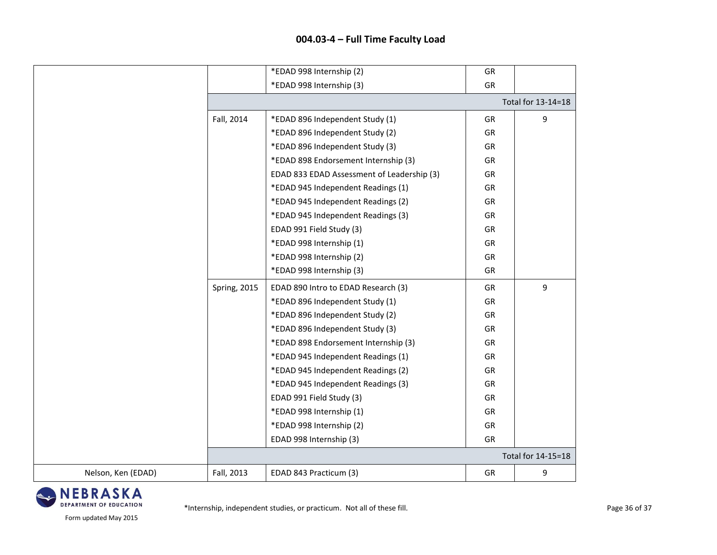|                    |                     | *EDAD 998 Internship (2)                   | GR        |                    |  |  |
|--------------------|---------------------|--------------------------------------------|-----------|--------------------|--|--|
|                    |                     | *EDAD 998 Internship (3)                   | GR        |                    |  |  |
|                    |                     | Total for 13-14=18                         |           |                    |  |  |
|                    | Fall, 2014          | *EDAD 896 Independent Study (1)            | GR        | 9                  |  |  |
|                    |                     | *EDAD 896 Independent Study (2)            | GR        |                    |  |  |
|                    |                     | *EDAD 896 Independent Study (3)            | GR        |                    |  |  |
|                    |                     | *EDAD 898 Endorsement Internship (3)       | GR        |                    |  |  |
|                    |                     | EDAD 833 EDAD Assessment of Leadership (3) | GR        |                    |  |  |
|                    |                     | *EDAD 945 Independent Readings (1)         | GR        |                    |  |  |
|                    |                     | *EDAD 945 Independent Readings (2)         | GR        |                    |  |  |
|                    |                     | *EDAD 945 Independent Readings (3)         | GR        |                    |  |  |
|                    |                     | EDAD 991 Field Study (3)                   | GR        |                    |  |  |
|                    |                     | *EDAD 998 Internship (1)                   | GR        |                    |  |  |
|                    |                     | *EDAD 998 Internship (2)                   | GR        |                    |  |  |
|                    |                     | *EDAD 998 Internship (3)                   | GR        |                    |  |  |
|                    | <b>Spring, 2015</b> | EDAD 890 Intro to EDAD Research (3)        | <b>GR</b> | 9                  |  |  |
|                    |                     | *EDAD 896 Independent Study (1)            | GR        |                    |  |  |
|                    |                     | *EDAD 896 Independent Study (2)            | GR        |                    |  |  |
|                    |                     | *EDAD 896 Independent Study (3)            | GR        |                    |  |  |
|                    |                     | *EDAD 898 Endorsement Internship (3)       | GR        |                    |  |  |
|                    |                     | *EDAD 945 Independent Readings (1)         | GR        |                    |  |  |
|                    |                     | *EDAD 945 Independent Readings (2)         | GR        |                    |  |  |
|                    |                     | *EDAD 945 Independent Readings (3)         | GR        |                    |  |  |
|                    |                     | EDAD 991 Field Study (3)                   | GR        |                    |  |  |
|                    |                     | *EDAD 998 Internship (1)                   | GR        |                    |  |  |
|                    |                     | *EDAD 998 Internship (2)                   | GR        |                    |  |  |
|                    |                     | EDAD 998 Internship (3)                    | GR        |                    |  |  |
|                    |                     |                                            |           | Total for 14-15=18 |  |  |
| Nelson, Ken (EDAD) | Fall, 2013          | EDAD 843 Practicum (3)                     | GR        | 9                  |  |  |